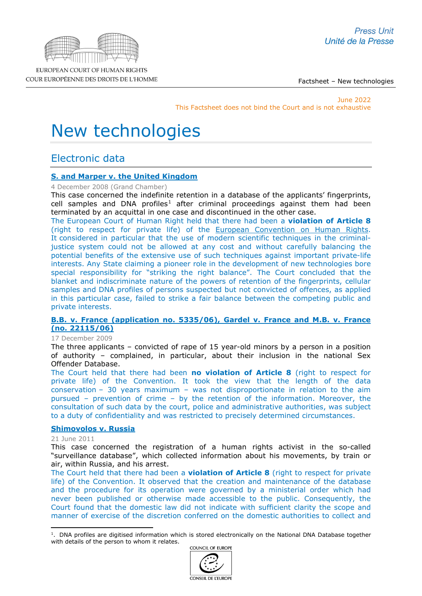

Factsheet – New technologies

June 2022 This Factsheet does not bind the Court and is not exhaustive

# New technologies

# Electronic data

### **[S. and Marper v. the United Kingdom](http://hudoc.echr.coe.int/sites/eng-press/pages/search.aspx?i=003-2571936-2784147)**

4 December 2008 (Grand Chamber)

This case concerned the indefinite retention in a database of the applicants' fingerprints, cell samples and DNA profiles<sup>[1](#page-0-0)</sup> after criminal proceedings against them had been terminated by an acquittal in one case and discontinued in the other case.

The European Court of Human Right held that there had been a **violation of Article 8** (right to respect for private life) of the [European Convention on Human Rights.](http://www.echr.coe.int/Documents/Convention_ENG.pdf) It considered in particular that the use of modern scientific techniques in the criminaljustice system could not be allowed at any cost and without carefully balancing the potential benefits of the extensive use of such techniques against important private-life interests. Any State claiming a pioneer role in the development of new technologies bore special responsibility for "striking the right balance". The Court concluded that the blanket and indiscriminate nature of the powers of retention of the fingerprints, cellular samples and DNA profiles of persons suspected but not convicted of offences, as applied in this particular case, failed to strike a fair balance between the competing public and private interests.

### **[B.B. v. France \(application no. 5335/06\), Gardel v. France and M.B. v. France](http://hudoc.echr.coe.int/sites/fra-press/pages/search.aspx?i=003-4480954-5400075)  [\(no. 22115/06\)](http://hudoc.echr.coe.int/sites/fra-press/pages/search.aspx?i=003-4480954-5400075)**

#### 17 December 2009

The three applicants – convicted of rape of 15 year-old minors by a person in a position of authority – complained, in particular, about their inclusion in the national Sex Offender Database.

The Court held that there had been **no violation of Article 8** (right to respect for private life) of the Convention. It took the view that the length of the data conservation – 30 years maximum – was not disproportionate in relation to the aim pursued – prevention of crime – by the retention of the information. Moreover, the consultation of such data by the court, police and administrative authorities, was subject to a duty of confidentiality and was restricted to precisely determined circumstances.

### **[Shimovolos v. Russia](http://hudoc.echr.coe.int/sites/eng-press/pages/search.aspx?i=003-3581541-4053078)**

#### 21 June 2011

This case concerned the registration of a human rights activist in the so-called "surveillance database", which collected information about his movements, by train or air, within Russia, and his arrest.

The Court held that there had been a **violation of Article 8** (right to respect for private life) of the Convention. It observed that the creation and maintenance of the database and the procedure for its operation were governed by a ministerial order which had never been published or otherwise made accessible to the public. Consequently, the Court found that the domestic law did not indicate with sufficient clarity the scope and manner of exercise of the discretion conferred on the domestic authorities to collect and

COUNCIL OF EUROPE





EUROPEAN COURT OF HUMAN RIGHTS COUR EUROPÉENNE DES DROITS DE L'HOMME

<span id="page-0-0"></span><sup>&</sup>lt;sup>1</sup>. DNA profiles are digitised information which is stored electronically on the National DNA Database together with details of the person to whom it relates.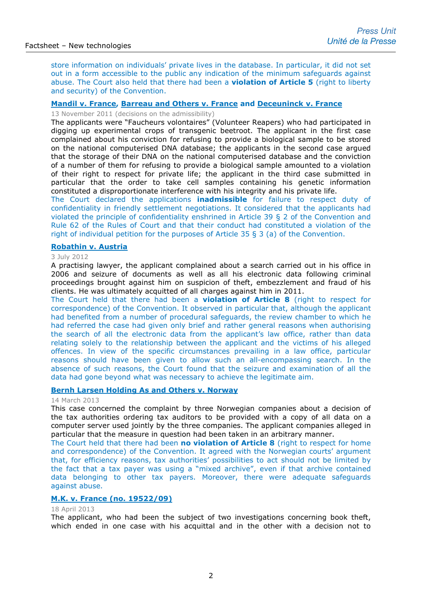store information on individuals' private lives in the database. In particular, it did not set out in a form accessible to the public any indication of the minimum safeguards against abuse. The Court also held that there had been a **violation of Article 5** (right to liberty and security) of the Convention.

### **[Mandil v. France, Barreau and Others v. France](http://hudoc.echr.coe.int/sites/eng-press/pages/search.aspx?i=003-3814156-4373521) and Deceuninck v. France**

13 November 2011 (decisions on the admissibility)

The applicants were "Faucheurs volontaires" (Volunteer Reapers) who had participated in digging up experimental crops of transgenic beetroot. The applicant in the first case complained about his conviction for refusing to provide a biological sample to be stored on the national computerised DNA database; the applicants in the second case argued that the storage of their DNA on the national computerised database and the conviction of a number of them for refusing to provide a biological sample amounted to a violation of their right to respect for private life; the applicant in the third case submitted in particular that the order to take cell samples containing his genetic information constituted a disproportionate interference with his integrity and his private life.

The Court declared the applications **inadmissible** for failure to respect duty of confidentiality in friendly settlement negotiations. It considered that the applicants had violated the principle of confidentiality enshrined in Article 39 § 2 of the Convention and Rule 62 of the Rules of Court and that their conduct had constituted a violation of the right of individual petition for the purposes of Article 35 § 3 (a) of the Convention.

### **[Robathin v. Austria](http://hudoc.echr.coe.int/eng?i=002-5567)**

#### 3 July 2012

A practising lawyer, the applicant complained about a search carried out in his office in 2006 and seizure of documents as well as all his electronic data following criminal proceedings brought against him on suspicion of theft, embezzlement and fraud of his clients. He was ultimately acquitted of all charges against him in 2011.

The Court held that there had been a **violation of Article 8** (right to respect for correspondence) of the Convention. It observed in particular that, although the applicant had benefited from a number of procedural safeguards, the review chamber to which he had referred the case had given only brief and rather general reasons when authorising the search of all the electronic data from the applicant's law office, rather than data relating solely to the relationship between the applicant and the victims of his alleged offences. In view of the specific circumstances prevailing in a law office, particular reasons should have been given to allow such an all-encompassing search. In the absence of such reasons, the Court found that the seizure and examination of all the data had gone beyond what was necessary to achieve the legitimate aim.

### **[Bernh Larsen Holding As and Others v. Norway](http://hudoc.echr.coe.int/sites/fra-press/pages/search.aspx?i=003-4290549-5124101)**

#### 14 March 2013

This case concerned the complaint by three Norwegian companies about a decision of the tax authorities ordering tax auditors to be provided with a copy of all data on a computer server used jointly by the three companies. The applicant companies alleged in particular that the measure in question had been taken in an arbitrary manner.

The Court held that there had been **no violation of Article 8** (right to respect for home and correspondence) of the Convention. It agreed with the Norwegian courts' argument that, for efficiency reasons, tax authorities' possibilities to act should not be limited by the fact that a tax payer was using a "mixed archive", even if that archive contained data belonging to other tax payers. Moreover, there were adequate safeguards against abuse.

### **[M.K. v. France \(no.](http://hudoc.echr.coe.int/sites/fra-press/pages/search.aspx?i=003-4332390-5192548) 19522/09)**

### 18 April 2013

The applicant, who had been the subject of two investigations concerning book theft, which ended in one case with his acquittal and in the other with a decision not to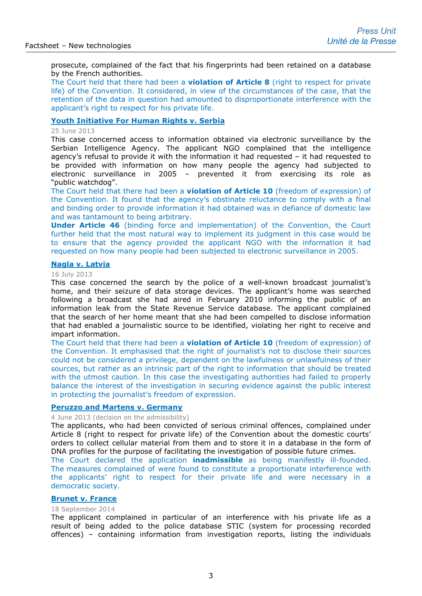prosecute, complained of the fact that his fingerprints had been retained on a database by the French authorities.

The Court held that there had been a **violation of Article 8** (right to respect for private life) of the Convention. It considered, in view of the circumstances of the case, that the retention of the data in question had amounted to disproportionate interference with the applicant's right to respect for his private life.

### **[Youth Initiative For Human Rights v. Serbia](http://hudoc.echr.coe.int/sites/eng-press/pages/search.aspx?i=003-4412824-5302120)**

25 June 2013

This case concerned access to information obtained via electronic surveillance by the Serbian Intelligence Agency. The applicant NGO complained that the intelligence agency's refusal to provide it with the information it had requested – it had requested to be provided with information on how many people the agency had subjected to electronic surveillance in 2005 – prevented it from exercising its role as "public watchdog".

The Court held that there had been a **violation of Article 10** (freedom of expression) of the Convention. It found that the agency's obstinate reluctance to comply with a final and binding order to provide information it had obtained was in defiance of domestic law and was tantamount to being arbitrary.

**Under Article 46** (binding force and implementation) of the Convention, the Court further held that the most natural way to implement its judgment in this case would be to ensure that the agency provided the applicant NGO with the information it had requested on how many people had been subjected to electronic surveillance in 2005.

#### **[Nagla v. Latvia](http://hudoc.echr.coe.int/sites/eng-press/pages/search.aspx?i=003-4436954-5336462)**

#### 16 July 2013

This case concerned the search by the police of a well-known broadcast journalist's home, and their seizure of data storage devices. The applicant's home was searched following a broadcast she had aired in February 2010 informing the public of an information leak from the State Revenue Service database. The applicant complained that the search of her home meant that she had been compelled to disclose information that had enabled a journalistic source to be identified, violating her right to receive and impart information.

The Court held that there had been a **violation of Article 10** (freedom of expression) of the Convention. It emphasised that the right of journalist's not to disclose their sources could not be considered a privilege, dependent on the lawfulness or unlawfulness of their sources, but rather as an intrinsic part of the right to information that should be treated with the utmost caution. In this case the investigating authorities had failed to properly balance the interest of the investigation in securing evidence against the public interest in protecting the journalist's freedom of expression.

### **[Peruzzo and Martens v. Germany](http://hudoc.echr.coe.int/sites/eng/pages/search.aspx?i=002-7614)**

4 June 2013 (decision on the admissibility)

The applicants, who had been convicted of serious criminal offences, complained under Article 8 (right to respect for private life) of the Convention about the domestic courts' orders to collect cellular material from them and to store it in a database in the form of DNA profiles for the purpose of facilitating the investigation of possible future crimes.

The Court declared the application **inadmissible** as being manifestly ill-founded. The measures complained of were found to constitute a proportionate interference with the applicants' right to respect for their private life and were necessary in a democratic society.

### **[Brunet v. France](http://hudoc.echr.coe.int/sites/eng-press/pages/search.aspx?i=003-4872410-5953858)**

#### 18 September 2014

The applicant complained in particular of an interference with his private life as a result of being added to the police database STIC (system for processing recorded offences) – containing information from investigation reports, listing the individuals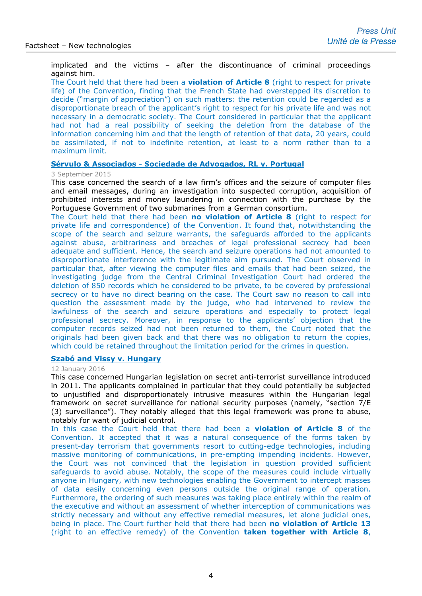implicated and the victims – after the discontinuance of criminal proceedings against him.

The Court held that there had been a **violation of Article 8** (right to respect for private life) of the Convention, finding that the French State had overstepped its discretion to decide ("margin of appreciation") on such matters: the retention could be regarded as a disproportionate breach of the applicant's right to respect for his private life and was not necessary in a democratic society. The Court considered in particular that the applicant had not had a real possibility of seeking the deletion from the database of the information concerning him and that the length of retention of that data, 20 years, could be assimilated, if not to indefinite retention, at least to a norm rather than to a maximum limit.

### **Sérvulo & Associados - [Sociedade de Advogados, RL v. Portugal](http://hudoc.echr.coe.int/eng?i=003-5160398-6379496)**

#### 3 September 2015

This case concerned the search of a law firm's offices and the seizure of computer files and email messages, during an investigation into suspected corruption, acquisition of prohibited interests and money laundering in connection with the purchase by the Portuguese Government of two submarines from a German consortium.

The Court held that there had been **no violation of Article 8** (right to respect for private life and correspondence) of the Convention. It found that, notwithstanding the scope of the search and seizure warrants, the safeguards afforded to the applicants against abuse, arbitrariness and breaches of legal professional secrecy had been adequate and sufficient. Hence, the search and seizure operations had not amounted to disproportionate interference with the legitimate aim pursued. The Court observed in particular that, after viewing the computer files and emails that had been seized, the investigating judge from the Central Criminal Investigation Court had ordered the deletion of 850 records which he considered to be private, to be covered by professional secrecy or to have no direct bearing on the case. The Court saw no reason to call into question the assessment made by the judge, who had intervened to review the lawfulness of the search and seizure operations and especially to protect legal professional secrecy. Moreover, in response to the applicants' objection that the computer records seized had not been returned to them, the Court noted that the originals had been given back and that there was no obligation to return the copies, which could be retained throughout the limitation period for the crimes in question.

### **[Szabó and Vissy v. Hungary](http://hudoc.echr.coe.int/eng-press?i=003-5268616-6546444)**

### 12 January 2016

This case concerned Hungarian legislation on secret anti-terrorist surveillance introduced in 2011. The applicants complained in particular that they could potentially be subjected to unjustified and disproportionately intrusive measures within the Hungarian legal framework on secret surveillance for national security purposes (namely, "section 7/E (3) surveillance"). They notably alleged that this legal framework was prone to abuse, notably for want of judicial control.

In this case the Court held that there had been a **violation of Article 8** of the Convention. It accepted that it was a natural consequence of the forms taken by present-day terrorism that governments resort to cutting-edge technologies, including massive monitoring of communications, in pre-empting impending incidents. However, the Court was not convinced that the legislation in question provided sufficient safeguards to avoid abuse. Notably, the scope of the measures could include virtually anyone in Hungary, with new technologies enabling the Government to intercept masses of data easily concerning even persons outside the original range of operation. Furthermore, the ordering of such measures was taking place entirely within the realm of the executive and without an assessment of whether interception of communications was strictly necessary and without any effective remedial measures, let alone judicial ones, being in place. The Court further held that there had been **no violation of Article 13** (right to an effective remedy) of the Convention **taken together with Article 8**,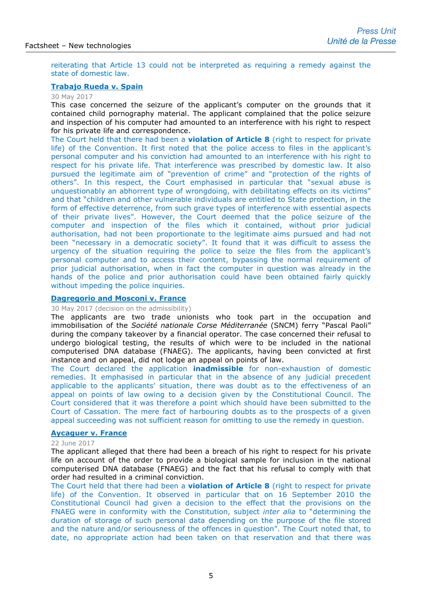reiterating that Article 13 could not be interpreted as requiring a remedy against the state of domestic law.

### **[Trabajo Rueda v. Spain](http://hudoc.echr.coe.int/eng-press?i=003-5731762-7280099)**

### 30 May 2017

This case concerned the seizure of the applicant's computer on the grounds that it contained child pornography material. The applicant complained that the police seizure and inspection of his computer had amounted to an interference with his right to respect for his private life and correspondence.

The Court held that there had been a **violation of Article 8** (right to respect for private life) of the Convention. It first noted that the police access to files in the applicant's personal computer and his conviction had amounted to an interference with his right to respect for his private life. That interference was prescribed by domestic law. It also pursued the legitimate aim of "prevention of crime" and "protection of the rights of others". In this respect, the Court emphasised in particular that "sexual abuse is unquestionably an abhorrent type of wrongdoing, with debilitating effects on its victims" and that "children and other vulnerable individuals are entitled to State protection, in the form of effective deterrence, from such grave types of interference with essential aspects of their private lives". However, the Court deemed that the police seizure of the computer and inspection of the files which it contained, without prior judicial authorisation, had not been proportionate to the legitimate aims pursued and had not been "necessary in a democratic society". It found that it was difficult to assess the urgency of the situation requiring the police to seize the files from the applicant's personal computer and to access their content, bypassing the normal requirement of prior judicial authorisation, when in fact the computer in question was already in the hands of the police and prior authorisation could have been obtained fairly quickly without impeding the police inquiries.

### **[Dagregorio and Mosconi v. France](http://hudoc.echr.coe.int/eng-press?i=003-5758396-7320011)**

30 May 2017 (decision on the admissibility)

The applicants are two trade unionists who took part in the occupation and immobilisation of the *Société nationale Corse Méditerranée* (SNCM) ferry "Pascal Paoli" during the company takeover by a financial operator. The case concerned their refusal to undergo biological testing, the results of which were to be included in the national computerised DNA database (FNAEG). The applicants, having been convicted at first instance and on appeal, did not lodge an appeal on points of law.

The Court declared the application **inadmissible** for non-exhaustion of domestic remedies. It emphasised in particular that in the absence of any judicial precedent applicable to the applicants' situation, there was doubt as to the effectiveness of an appeal on points of law owing to a decision given by the Constitutional Council. The Court considered that it was therefore a point which should have been submitted to the Court of Cassation. The mere fact of harbouring doubts as to the prospects of a given appeal succeeding was not sufficient reason for omitting to use the remedy in question.

### **[Aycaguer v. France](http://hudoc.echr.coe.int/eng-press?i=003-5758394-7320005)**

#### 22 June 2017

The applicant alleged that there had been a breach of his right to respect for his private life on account of the order to provide a biological sample for inclusion in the national computerised DNA database (FNAEG) and the fact that his refusal to comply with that order had resulted in a criminal conviction.

The Court held that there had been a **violation of Article 8** (right to respect for private life) of the Convention. It observed in particular that on 16 September 2010 the Constitutional Council had given a decision to the effect that the provisions on the FNAEG were in conformity with the Constitution, subject *inter alia* to "determining the duration of storage of such personal data depending on the purpose of the file stored and the nature and/or seriousness of the offences in question". The Court noted that, to date, no appropriate action had been taken on that reservation and that there was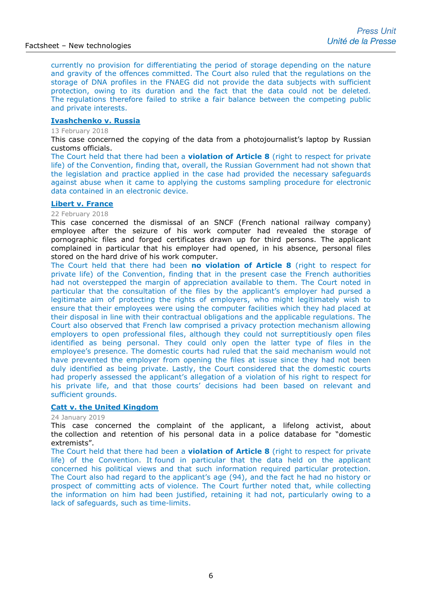currently no provision for differentiating the period of storage depending on the nature and gravity of the offences committed. The Court also ruled that the regulations on the storage of DNA profiles in the FNAEG did not provide the data subjects with sufficient protection, owing to its duration and the fact that the data could not be deleted. The regulations therefore failed to strike a fair balance between the competing public and private interests.

### **[Ivashchenko v. Russia](http://hudoc.echr.coe.int/eng-press?i=003-6003267-7691687)**

#### 13 February 2018

This case concerned the copying of the data from a photojournalist's laptop by Russian customs officials.

The Court held that there had been a **violation of Article 8** (right to respect for private life) of the Convention, finding that, overall, the Russian Government had not shown that the legislation and practice applied in the case had provided the necessary safeguards against abuse when it came to applying the customs sampling procedure for electronic data contained in an electronic device.

#### **[Libert v. France](http://hudoc.echr.coe.int/eng-press?i=003-6014614-7713110)**

### 22 February 2018

This case concerned the dismissal of an SNCF (French national railway company) employee after the seizure of his work computer had revealed the storage of pornographic files and forged certificates drawn up for third persons. The applicant complained in particular that his employer had opened, in his absence, personal files stored on the hard drive of his work computer.

The Court held that there had been **no violation of Article 8** (right to respect for private life) of the Convention, finding that in the present case the French authorities had not overstepped the margin of appreciation available to them. The Court noted in particular that the consultation of the files by the applicant's employer had pursed a legitimate aim of protecting the rights of employers, who might legitimately wish to ensure that their employees were using the computer facilities which they had placed at their disposal in line with their contractual obligations and the applicable regulations. The Court also observed that French law comprised a privacy protection mechanism allowing employers to open professional files, although they could not surreptitiously open files identified as being personal. They could only open the latter type of files in the employee's presence. The domestic courts had ruled that the said mechanism would not have prevented the employer from opening the files at issue since they had not been duly identified as being private. Lastly, the Court considered that the domestic courts had properly assessed the applicant's allegation of a violation of his right to respect for his private life, and that those courts' decisions had been based on relevant and sufficient grounds.

### **[Catt v. the United Kingdom](http://hudoc.echr.coe.int/fre-press?i=003-6308613-8238123)**

#### 24 January 2019

This case concerned the complaint of the applicant, a lifelong activist, about the collection and retention of his personal data in a police database for "domestic extremists".

The Court held that there had been a **violation of Article 8** (right to respect for private life) of the Convention. It found in particular that the data held on the applicant concerned his political views and that such information required particular protection. The Court also had regard to the applicant's age (94), and the fact he had no history or prospect of committing acts of violence. The Court further noted that, while collecting the information on him had been justified, retaining it had not, particularly owing to a lack of safeguards, such as time-limits.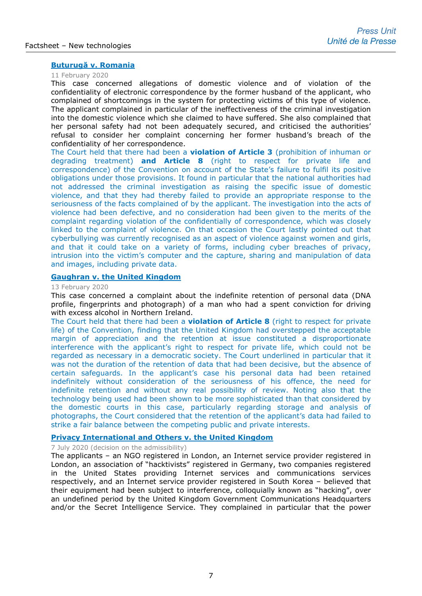### **[Buturugă v. Romania](http://hudoc.echr.coe.int/eng-press?i=003-6635916-8811383)**

#### 11 February 2020

This case concerned allegations of domestic violence and of violation of the confidentiality of electronic correspondence by the former husband of the applicant, who complained of shortcomings in the system for protecting victims of this type of violence. The applicant complained in particular of the ineffectiveness of the criminal investigation into the domestic violence which she claimed to have suffered. She also complained that her personal safety had not been adequately secured, and criticised the authorities' refusal to consider her complaint concerning her former husband's breach of the confidentiality of her correspondence.

The Court held that there had been a **violation of Article 3** (prohibition of inhuman or degrading treatment) **and Article 8** (right to respect for private life and correspondence) of the Convention on account of the State's failure to fulfil its positive obligations under those provisions. It found in particular that the national authorities had not addressed the criminal investigation as raising the specific issue of domestic violence, and that they had thereby failed to provide an appropriate response to the seriousness of the facts complained of by the applicant. The investigation into the acts of violence had been defective, and no consideration had been given to the merits of the complaint regarding violation of the confidentially of correspondence, which was closely linked to the complaint of violence. On that occasion the Court lastly pointed out that cyberbullying was currently recognised as an aspect of violence against women and girls, and that it could take on a variety of forms, including cyber breaches of privacy, intrusion into the victim's computer and the capture, sharing and manipulation of data and images, including private data.

### **[Gaughran v. the United Kingdom](http://hudoc.echr.coe.int/eng-press?i=003-6638275-8815904)**

#### 13 February 2020

This case concerned a complaint about the indefinite retention of personal data (DNA profile, fingerprints and photograph) of a man who had a spent conviction for driving with excess alcohol in Northern Ireland.

The Court held that there had been a **violation of Article 8** (right to respect for private life) of the Convention, finding that the United Kingdom had overstepped the acceptable margin of appreciation and the retention at issue constituted a disproportionate interference with the applicant's right to respect for private life, which could not be regarded as necessary in a democratic society. The Court underlined in particular that it was not the duration of the retention of data that had been decisive, but the absence of certain safeguards. In the applicant's case his personal data had been retained indefinitely without consideration of the seriousness of his offence, the need for indefinite retention and without any real possibility of review. Noting also that the technology being used had been shown to be more sophisticated than that considered by the domestic courts in this case, particularly regarding storage and analysis of photographs, the Court considered that the retention of the applicant's data had failed to strike a fair balance between the competing public and private interests.

### **[Privacy International and Others v. the United Kingdom](http://hudoc.echr.coe.int/fre?i=001-204588)**

#### 7 July 2020 (decision on the admissibility)

The applicants – an NGO registered in London, an Internet service provider registered in London, an association of "hacktivists" registered in Germany, two companies registered in the United States providing Internet services and communications services respectively, and an Internet service provider registered in South Korea – believed that their equipment had been subject to interference, colloquially known as "hacking", over an undefined period by the United Kingdom Government Communications Headquarters and/or the Secret Intelligence Service. They complained in particular that the power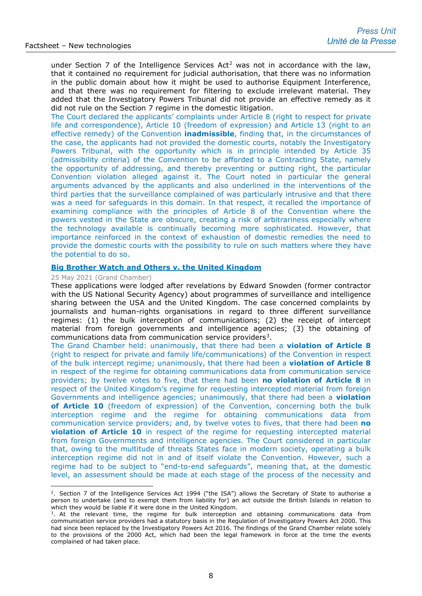under Section 7 of the Intelligence Services Act<sup>[2](#page-7-0)</sup> was not in accordance with the law, that it contained no requirement for judicial authorisation, that there was no information in the public domain about how it might be used to authorise Equipment Interference, and that there was no requirement for filtering to exclude irrelevant material. They added that the Investigatory Powers Tribunal did not provide an effective remedy as it did not rule on the Section 7 regime in the domestic litigation.

The Court declared the applicants' complaints under Article 8 (right to respect for private life and correspondence), Article 10 (freedom of expression) and Article 13 (right to an effective remedy) of the Convention **inadmissible**, finding that, in the circumstances of the case, the applicants had not provided the domestic courts, notably the Investigatory Powers Tribunal, with the opportunity which is in principle intended by Article 35 (admissibility criteria) of the Convention to be afforded to a Contracting State, namely the opportunity of addressing, and thereby preventing or putting right, the particular Convention violation alleged against it. The Court noted in particular the general arguments advanced by the applicants and also underlined in the interventions of the third parties that the surveillance complained of was particularly intrusive and that there was a need for safeguards in this domain. In that respect, it recalled the importance of examining compliance with the principles of Article 8 of the Convention where the powers vested in the State are obscure, creating a risk of arbitrariness especially where the technology available is continually becoming more sophisticated. However, that importance reinforced in the context of exhaustion of domestic remedies the need to provide the domestic courts with the possibility to rule on such matters where they have the potential to do so.

### **[Big Brother Watch and Others v. the United Kingdom](http://hudoc.echr.coe.int/eng-press?i=003-7028496-9484349)**

#### 25 May 2021 (Grand Chamber)

These applications were lodged after revelations by Edward Snowden (former contractor with the US National Security Agency) about programmes of surveillance and intelligence sharing between the USA and the United Kingdom. The case concerned complaints by journalists and human-rights organisations in regard to three different surveillance regimes: (1) the bulk interception of communications; (2) the receipt of intercept material from foreign governments and intelligence agencies; (3) the obtaining of communications data from communication service providers<sup>[3](#page-7-1)</sup>.

The Grand Chamber held: unanimously, that there had been a **violation of Article 8** (right to respect for private and family life/communications) of the Convention in respect of the bulk intercept regime; unanimously, that there had been a **violation of Article 8** in respect of the regime for obtaining communications data from communication service providers; by twelve votes to five, that there had been **no violation of Article 8** in respect of the United Kingdom's regime for requesting intercepted material from foreign Governments and intelligence agencies; unanimously, that there had been a **violation of Article 10** (freedom of expression) of the Convention, concerning both the bulk interception regime and the regime for obtaining communications data from communication service providers; and, by twelve votes to fives, that there had been **no violation of Article 10** in respect of the regime for requesting intercepted material from foreign Governments and intelligence agencies. The Court considered in particular that, owing to the multitude of threats States face in modern society, operating a bulk interception regime did not in and of itself violate the Convention. However, such a regime had to be subject to "end-to-end safeguards", meaning that, at the domestic level, an assessment should be made at each stage of the process of the necessity and

<span id="page-7-0"></span><sup>&</sup>lt;sup>2</sup>. Section 7 of the Intelligence Services Act 1994 ("the ISA") allows the Secretary of State to authorise a person to undertake (and to exempt them from liability for) an act outside the British Islands in relation to which they would be liable if it were done in the United Kingdom.

<span id="page-7-1"></span><sup>&</sup>lt;sup>3</sup>. At the relevant time, the regime for bulk interception and obtaining communications data from communication service providers had a statutory basis in the Regulation of Investigatory Powers Act 2000. This had since been replaced by the Investigatory Powers Act 2016. The findings of the Grand Chamber relate solely to the provisions of the 2000 Act, which had been the legal framework in force at the time the events complained of had taken place.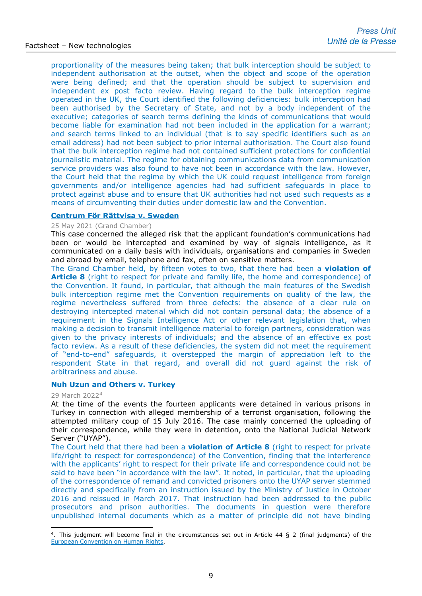proportionality of the measures being taken; that bulk interception should be subject to independent authorisation at the outset, when the object and scope of the operation were being defined; and that the operation should be subject to supervision and independent ex post facto review. Having regard to the bulk interception regime operated in the UK, the Court identified the following deficiencies: bulk interception had been authorised by the Secretary of State, and not by a body independent of the executive; categories of search terms defining the kinds of communications that would become liable for examination had not been included in the application for a warrant; and search terms linked to an individual (that is to say specific identifiers such as an email address) had not been subject to prior internal authorisation. The Court also found that the bulk interception regime had not contained sufficient protections for confidential journalistic material. The regime for obtaining communications data from communication service providers was also found to have not been in accordance with the law. However, the Court held that the regime by which the UK could request intelligence from foreign governments and/or intelligence agencies had had sufficient safeguards in place to protect against abuse and to ensure that UK authorities had not used such requests as a means of circumventing their duties under domestic law and the Convention.

### **[Centrum För Rättvisa v. Sweden](http://hudoc.echr.coe.int/eng-press?i=003-7028476-9484327)**

#### 25 May 2021 (Grand Chamber)

This case concerned the alleged risk that the applicant foundation's communications had been or would be intercepted and examined by way of signals intelligence, as it communicated on a daily basis with individuals, organisations and companies in Sweden and abroad by email, telephone and fax, often on sensitive matters.

The Grand Chamber held, by fifteen votes to two, that there had been a **violation of Article 8** (right to respect for private and family life, the home and correspondence) of the Convention. It found, in particular, that although the main features of the Swedish bulk interception regime met the Convention requirements on quality of the law, the regime nevertheless suffered from three defects: the absence of a clear rule on destroying intercepted material which did not contain personal data; the absence of a requirement in the Signals Intelligence Act or other relevant legislation that, when making a decision to transmit intelligence material to foreign partners, consideration was given to the privacy interests of individuals; and the absence of an effective ex post facto review. As a result of these deficiencies, the system did not meet the requirement of "end-to-end" safeguards, it overstepped the margin of appreciation left to the respondent State in that regard, and overall did not guard against the risk of arbitrariness and abuse.

### **[Nuh Uzun and Others v. Turkey](https://hudoc.echr.coe.int/eng-press?i=003-7296579-9946429)**

#### 29 March 2022[4](#page-8-0)

At the time of the events the fourteen applicants were detained in various prisons in Turkey in connection with alleged membership of a terrorist organisation, following the attempted military coup of 15 July 2016. The case mainly concerned the uploading of their correspondence, while they were in detention, onto the National Judicial Network Server ("UYAP").

The Court held that there had been a **violation of Article 8** (right to respect for private life/right to respect for correspondence) of the Convention, finding that the interference with the applicants' right to respect for their private life and correspondence could not be said to have been "in accordance with the law". It noted, in particular, that the uploading of the correspondence of remand and convicted prisoners onto the UYAP server stemmed directly and specifically from an instruction issued by the Ministry of Justice in October 2016 and reissued in March 2017. That instruction had been addressed to the public prosecutors and prison authorities. The documents in question were therefore unpublished internal documents which as a matter of principle did not have binding

<span id="page-8-0"></span><sup>&</sup>lt;sup>4</sup>. This judgment will become final in the circumstances set out in Article  $44 \xi$  2 (final judgments) of the [European Convention on](http://www.echr.coe.int/Documents/Convention_ENG.pdf) Human Rights.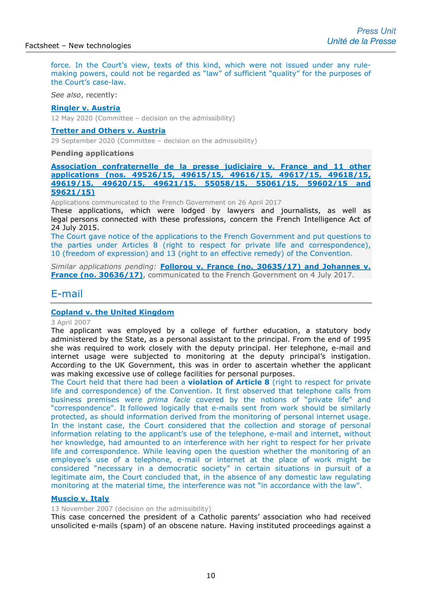force. In the Court's view, texts of this kind, which were not issued under any rulemaking powers, could not be regarded as "law" of sufficient "quality" for the purposes of the Court's case-law.

*See also*, recently:

#### **[Ringler v. Austria](http://hudoc.echr.coe.int/eng?i=001-203068)**

12 May 2020 (Committee – decision on the admissibility)

### **[Tretter and Others v. Austria](http://hudoc.echr.coe.int/eng?i=001-205734)**

29 September 2020 (Committee – decision on the admissibility)

#### **Pending applications**

**[Association confraternelle de la presse judiciaire v. France and](http://hudoc.echr.coe.int/eng?i=001-173634) 11 other applications [\(nos. 49526/15, 49615/15, 49616/15, 49617/15, 49618/15,](http://hudoc.echr.coe.int/eng?i=001-173634)  [49619/15, 49620/15, 49621/15, 55058/15, 55061/15, 59602/15 and](http://hudoc.echr.coe.int/eng?i=001-173634) [59621/15\)](http://hudoc.echr.coe.int/eng?i=001-173634)**

Applications communicated to the French Government on 26 April 2017

These applications, which were lodged by lawyers and journalists, as well as legal persons connected with these professions, concern the French Intelligence Act of 24 July 2015.

The Court gave notice of the applications to the French Government and put questions to the parties under Articles 8 (right to respect for private life and correspondence), 10 (freedom of expression) and 13 (right to an effective remedy) of the Convention.

*Similar applications pending:* **[Follorou v. France \(no. 30635/17\) and Johannes v.](http://hudoc.echr.coe.int/fre?i=001-175882)  [France \(no. 30636/17\)](http://hudoc.echr.coe.int/fre?i=001-175882)**, communicated to the French Government on 4 July 2017.

## E-mail

### **[Copland v. the United Kingdom](http://hudoc.echr.coe.int/sites/eng/pages/search.aspx?i=002-2765)**

### 3 April 2007

The applicant was employed by a college of further education, a statutory body administered by the State, as a personal assistant to the principal. From the end of 1995 she was required to work closely with the deputy principal. Her telephone, e-mail and internet usage were subjected to monitoring at the deputy principal's instigation. According to the UK Government, this was in order to ascertain whether the applicant was making excessive use of college facilities for personal purposes.

The Court held that there had been a **violation of Article 8** (right to respect for private life and correspondence) of the Convention. It first observed that telephone calls from business premises were *prima facie* covered by the notions of "private life" and "correspondence". It followed logically that e-mails sent from work should be similarly protected, as should information derived from the monitoring of personal internet usage. In the instant case, the Court considered that the collection and storage of personal information relating to the applicant's use of the telephone, e-mail and internet, without her knowledge, had amounted to an interference with her right to respect for her private life and correspondence. While leaving open the question whether the monitoring of an employee's use of a telephone, e-mail or internet at the place of work might be considered "necessary in a democratic society" in certain situations in pursuit of a legitimate aim, the Court concluded that, in the absence of any domestic law regulating monitoring at the material time, the interference was not "in accordance with the law".

### **[Muscio v. Italy](http://hudoc.echr.coe.int/sites/eng/pages/search.aspx?i=002-2419)**

13 November 2007 (decision on the admissibility)

This case concerned the president of a Catholic parents' association who had received unsolicited e-mails (spam) of an obscene nature. Having instituted proceedings against a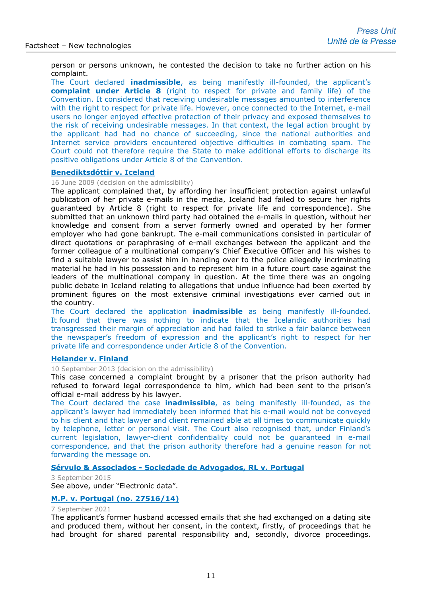person or persons unknown, he contested the decision to take no further action on his complaint.

The Court declared **inadmissible**, as being manifestly ill-founded, the applicant's **complaint under Article 8** (right to respect for private and family life) of the Convention. It considered that receiving undesirable messages amounted to interference with the right to respect for private life. However, once connected to the Internet, e-mail users no longer enjoyed effective protection of their privacy and exposed themselves to the risk of receiving undesirable messages. In that context, the legal action brought by the applicant had had no chance of succeeding, since the national authorities and Internet service providers encountered objective difficulties in combating spam. The Court could not therefore require the State to make additional efforts to discharge its positive obligations under Article 8 of the Convention.

#### **[Benediktsdóttir v. Iceland](http://hudoc.echr.coe.int/sites/eng/pages/search.aspx?i=001-93526)**

16 June 2009 (decision on the admissibility)

The applicant complained that, by affording her insufficient protection against unlawful publication of her private e-mails in the media, Iceland had failed to secure her rights guaranteed by Article 8 (right to respect for private life and correspondence). She submitted that an unknown third party had obtained the e-mails in question, without her knowledge and consent from a server formerly owned and operated by her former employer who had gone bankrupt. The e-mail communications consisted in particular of direct quotations or paraphrasing of e-mail exchanges between the applicant and the former colleague of a multinational company's Chief Executive Officer and his wishes to find a suitable lawyer to assist him in handing over to the police allegedly incriminating material he had in his possession and to represent him in a future court case against the leaders of the multinational company in question. At the time there was an ongoing public debate in Iceland relating to allegations that undue influence had been exerted by prominent figures on the most extensive criminal investigations ever carried out in the country.

The Court declared the application **inadmissible** as being manifestly ill-founded. It found that there was nothing to indicate that the Icelandic authorities had transgressed their margin of appreciation and had failed to strike a fair balance between the newspaper's freedom of expression and the applicant's right to respect for her private life and correspondence under Article 8 of the Convention.

### **[Helander v. Finland](http://hudoc.echr.coe.int/sites/eng-press/pages/search.aspx?i=003-4520683-5454274)**

10 September 2013 (decision on the admissibility)

This case concerned a complaint brought by a prisoner that the prison authority had refused to forward legal correspondence to him, which had been sent to the prison's official e-mail address by his lawyer.

The Court declared the case **inadmissible**, as being manifestly ill-founded, as the applicant's lawyer had immediately been informed that his e-mail would not be conveyed to his client and that lawyer and client remained able at all times to communicate quickly by telephone, letter or personal visit. The Court also recognised that, under Finland's current legislation, lawyer-client confidentiality could not be guaranteed in e-mail correspondence, and that the prison authority therefore had a genuine reason for not forwarding the message on.

### **Sérvulo & Associados - [Sociedade de Advogados, RL v. Portugal](http://hudoc.echr.coe.int/eng?i=003-5160398-6379496)**

3 September 2015 See above, under "Electronic data".

### **[M.P. v. Portugal](https://hudoc.echr.coe.int/eng-press?i=003-7110981-9629342) (no. 27516/14)**

### 7 September 2021

The applicant's former husband accessed emails that she had exchanged on a dating site and produced them, without her consent, in the context, firstly, of proceedings that he had brought for shared parental responsibility and, secondly, divorce proceedings.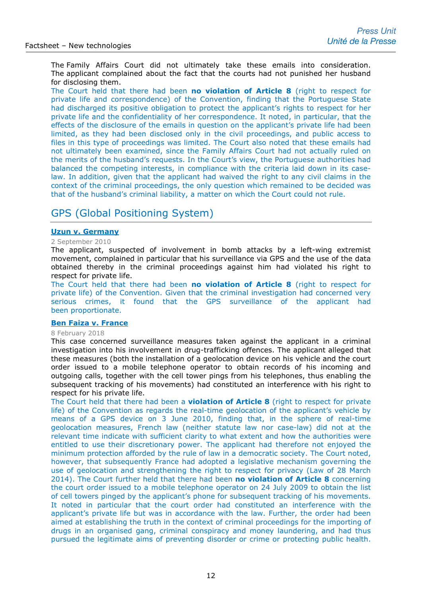The Family Affairs Court did not ultimately take these emails into consideration. The applicant complained about the fact that the courts had not punished her husband for disclosing them.

The Court held that there had been **no violation of Article 8** (right to respect for private life and correspondence) of the Convention, finding that the Portuguese State had discharged its positive obligation to protect the applicant's rights to respect for her private life and the confidentiality of her correspondence. It noted, in particular, that the effects of the disclosure of the emails in question on the applicant's private life had been limited, as they had been disclosed only in the civil proceedings, and public access to files in this type of proceedings was limited. The Court also noted that these emails had not ultimately been examined, since the Family Affairs Court had not actually ruled on the merits of the husband's requests. In the Court's view, the Portuguese authorities had balanced the competing interests, in compliance with the criteria laid down in its caselaw. In addition, given that the applicant had waived the right to any civil claims in the context of the criminal proceedings, the only question which remained to be decided was that of the husband's criminal liability, a matter on which the Court could not rule.

# GPS (Global Positioning System)

### **[Uzun v. Germany](http://hudoc.echr.coe.int/sites/eng-press/pages/search.aspx?i=003-3241790-3612154)**

#### 2 September 2010

The applicant, suspected of involvement in bomb attacks by a left-wing extremist movement, complained in particular that his surveillance via GPS and the use of the data obtained thereby in the criminal proceedings against him had violated his right to respect for private life.

The Court held that there had been **no violation of Article 8** (right to respect for private life) of the Convention. Given that the criminal investigation had concerned very serious crimes, it found that the GPS surveillance of the applicant had been proportionate.

### **[Ben Faiza v. France](http://hudoc.echr.coe.int/eng-press?i=003-5999245-7685292)**

#### 8 February 2018

This case concerned surveillance measures taken against the applicant in a criminal investigation into his involvement in drug-trafficking offences. The applicant alleged that these measures (both the installation of a geolocation device on his vehicle and the court order issued to a mobile telephone operator to obtain records of his incoming and outgoing calls, together with the cell tower pings from his telephones, thus enabling the subsequent tracking of his movements) had constituted an interference with his right to respect for his private life.

The Court held that there had been a **violation of Article 8** (right to respect for private life) of the Convention as regards the real-time geolocation of the applicant's vehicle by means of a GPS device on 3 June 2010, finding that, in the sphere of real-time geolocation measures, French law (neither statute law nor case-law) did not at the relevant time indicate with sufficient clarity to what extent and how the authorities were entitled to use their discretionary power. The applicant had therefore not enjoyed the minimum protection afforded by the rule of law in a democratic society. The Court noted, however, that subsequently France had adopted a legislative mechanism governing the use of geolocation and strengthening the right to respect for privacy (Law of 28 March 2014). The Court further held that there had been **no violation of Article 8** concerning the court order issued to a mobile telephone operator on 24 July 2009 to obtain the list of cell towers pinged by the applicant's phone for subsequent tracking of his movements. It noted in particular that the court order had constituted an interference with the applicant's private life but was in accordance with the law. Further, the order had been aimed at establishing the truth in the context of criminal proceedings for the importing of drugs in an organised gang, criminal conspiracy and money laundering, and had thus pursued the legitimate aims of preventing disorder or crime or protecting public health.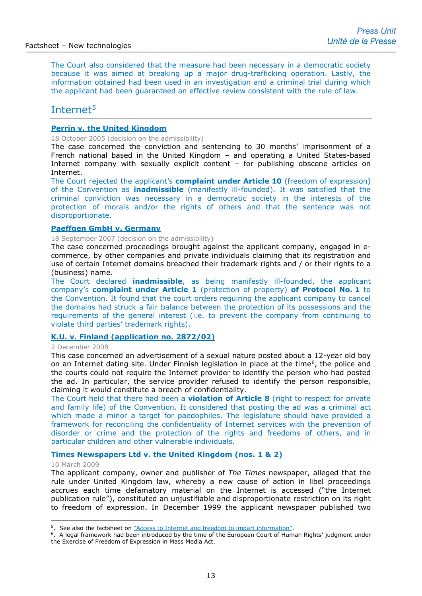The Court also considered that the measure had been necessary in a democratic society because it was aimed at breaking up a major drug-trafficking operation. Lastly, the information obtained had been used in an investigation and a criminal trial during which the applicant had been guaranteed an effective review consistent with the rule of law.

# Internet<sup>[5](#page-12-0)</sup>

### **[Perrin v. the United Kingdom](http://hudoc.echr.coe.int/sites/eng/pages/search.aspx?i=002-3684)**

18 October 2005 (decision on the admissibility)

The case concerned the conviction and sentencing to 30 months' imprisonment of a French national based in the United Kingdom – and operating a United States-based Internet company with sexually explicit content – for publishing obscene articles on Internet.

The Court rejected the applicant's **complaint under Article 10** (freedom of expression) of the Convention as **inadmissible** (manifestly ill-founded). It was satisfied that the criminal conviction was necessary in a democratic society in the interests of the protection of morals and/or the rights of others and that the sentence was not disproportionate.

### **Paeffgen [GmbH v. Germany](http://hudoc.echr.coe.int/sites/eng/pages/search.aspx?i=002-2549)**

18 September 2007 (decision on the admissibility)

The case concerned proceedings brought against the applicant company, engaged in ecommerce, by other companies and private individuals claiming that its registration and use of certain Internet domains breached their trademark rights and / or their rights to a (business) name.

The Court declared **inadmissible**, as being manifestly ill-founded, the applicant company's **complaint under Article 1** (protection of property) **of Protocol No. 1** to the Convention. It found that the court orders requiring the applicant company to cancel the domains had struck a fair balance between the protection of its possessions and the requirements of the general interest (i.e. to prevent the company from continuing to violate third parties' trademark rights).

### **[K.U. v. Finland \(application no. 2872/02\)](http://hudoc.echr.coe.int/sites/eng-press/pages/search.aspx?i=003-2564792-2788755)**

#### 2 December 2008

This case concerned an advertisement of a sexual nature posted about a 12-year old boy on an Internet dating site. Under Finnish legislation in place at the time<sup>6</sup>, the police and the courts could not require the Internet provider to identify the person who had posted the ad. In particular, the service provider refused to identify the person responsible, claiming it would constitute a breach of confidentiality.

The Court held that there had been a **violation of Article 8** (right to respect for private and family life) of the Convention. It considered that posting the ad was a criminal act which made a minor a target for paedophiles. The legislature should have provided a framework for reconciling the confidentiality of Internet services with the prevention of disorder or crime and the protection of the rights and freedoms of others, and in particular children and other vulnerable individuals.

### **[Times Newspapers Ltd v. the United Kingdom](http://hudoc.echr.coe.int/sites/eng-press/pages/search.aspx?i=003-2660293-2907014) (nos. 1 & 2)**

#### 10 March 2009

The applicant company, owner and publisher of *The Times* newspaper, alleged that the rule under United Kingdom law, whereby a new cause of action in libel proceedings accrues each time defamatory material on the Internet is accessed ("the Internet publication rule"), constituted an unjustifiable and disproportionate restriction on its right to freedom of expression. In December 1999 the applicant newspaper published two

<span id="page-12-1"></span><span id="page-12-0"></span><sup>&</sup>lt;sup>5</sup>. See also the factsheet on  $"Access$  to Internet and freedom to impart information".<br><sup>6</sup>. A legal framework had been introduced by the time of the European Court of Human Rights' judgment under the Exercise of Freedom of Expression in Mass Media Act.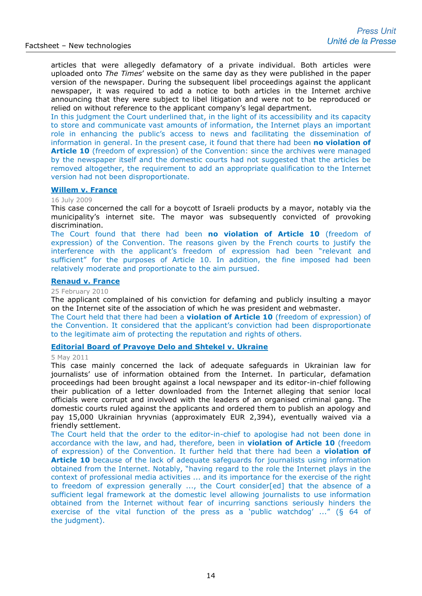articles that were allegedly defamatory of a private individual. Both articles were uploaded onto *The Times*' website on the same day as they were published in the paper version of the newspaper. During the subsequent libel proceedings against the applicant newspaper, it was required to add a notice to both articles in the Internet archive announcing that they were subject to libel litigation and were not to be reproduced or relied on without reference to the applicant company's legal department.

In this judgment the Court underlined that, in the light of its accessibility and its capacity to store and communicate vast amounts of information, the Internet plays an important role in enhancing the public's access to news and facilitating the dissemination of information in general. In the present case, it found that there had been **no violation of Article 10** (freedom of expression) of the Convention: since the archives were managed by the newspaper itself and the domestic courts had not suggested that the articles be removed altogether, the requirement to add an appropriate qualification to the Internet version had not been disproportionate.

#### **[Willem v.](http://hudoc.echr.coe.int/sites/eng/pages/search.aspx?i=003-2803253-3069793) France**

#### 16 July 2009

This case concerned the call for a boycott of Israeli products by a mayor, notably via the municipality's internet site. The mayor was subsequently convicted of provoking discrimination.

The Court found that there had been **no violation of Article 10** (freedom of expression) of the Convention. The reasons given by the French courts to justify the interference with the applicant's freedom of expression had been "relevant and sufficient" for the purposes of Article 10. In addition, the fine imposed had been relatively moderate and proportionate to the aim pursued.

### **[Renaud v. France](http://cmiskp.echr.coe.int/tkp197/view.asp?action=html&documentId=863450&portal=hbkm&source=externalbydocnumber&table=F69A27FD8FB86142BF01C1166DEA398649)**

25 February 2010

The applicant complained of his conviction for defaming and publicly insulting a mayor on the Internet site of the association of which he was president and webmaster.

The Court held that there had been a **violation of Article 10** (freedom of expression) of the Convention. It considered that the applicant's conviction had been disproportionate to the legitimate aim of protecting the reputation and rights of others.

### **[Editorial Board of Pravoye Delo and Shtekel v. Ukraine](http://hudoc.echr.coe.int/sites/eng-press/pages/search.aspx?i=003-3526464-3979688)**

#### 5 May 2011

This case mainly concerned the lack of adequate safeguards in Ukrainian law for journalists' use of information obtained from the Internet. In particular, defamation proceedings had been brought against a local newspaper and its editor-in-chief following their publication of a letter downloaded from the Internet alleging that senior local officials were corrupt and involved with the leaders of an organised criminal gang. The domestic courts ruled against the applicants and ordered them to publish an apology and pay 15,000 Ukrainian hryvnias (approximately EUR 2,394), eventually waived via a friendly settlement.

The Court held that the order to the editor-in-chief to apologise had not been done in accordance with the law, and had, therefore, been in **violation of Article 10** (freedom of expression) of the Convention. It further held that there had been a **violation of Article 10** because of the lack of adequate safeguards for journalists using information obtained from the Internet. Notably, "having regard to the role the Internet plays in the context of professional media activities ... and its importance for the exercise of the right to freedom of expression generally ..., the Court consider[ed] that the absence of a sufficient legal framework at the domestic level allowing journalists to use information obtained from the Internet without fear of incurring sanctions seriously hinders the exercise of the vital function of the press as a 'public watchdog' ..." (§ 64 of the judgment).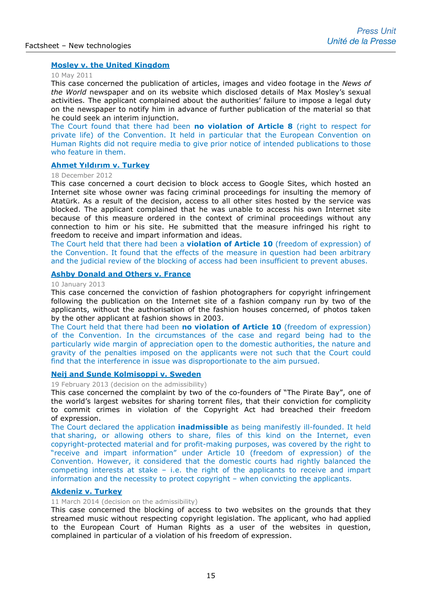### **[Mosley v. the United Kingdom](http://hudoc.echr.coe.int/sites/eng-press/pages/search.aspx?i=003-3532677-3987590)**

### 10 May 2011

This case concerned the publication of articles, images and video footage in the *News of the World* newspaper and on its website which disclosed details of Max Mosley's sexual activities. The applicant complained about the authorities' failure to impose a legal duty on the newspaper to notify him in advance of further publication of the material so that he could seek an interim injunction.

The Court found that there had been **no violation of Article 8** (right to respect for private life) of the Convention. It held in particular that the European Convention on Human Rights did not require media to give prior notice of intended publications to those who feature in them.

### **[Ahmet Yıldırım](http://hudoc.echr.coe.int/sites/eng-press/pages/search.aspx?i=003-4202780-4985142) v. Turkey**

#### 18 December 2012

This case concerned a court decision to block access to Google Sites, which hosted an Internet site whose owner was facing criminal proceedings for insulting the memory of Atatürk. As a result of the decision, access to all other sites hosted by the service was blocked. The applicant complained that he was unable to access his own Internet site because of this measure ordered in the context of criminal proceedings without any connection to him or his site. He submitted that the measure infringed his right to freedom to receive and impart information and ideas.

The Court held that there had been a **violation of Article 10** (freedom of expression) of the Convention. It found that the effects of the measure in question had been arbitrary and the judicial review of the blocking of access had been insufficient to prevent abuses.

### **[Ashby Donald and Others v. France](http://hudoc.echr.coe.int/sites/fra/pages/search.aspx?i=002-7393)**

#### 10 January 2013

This case concerned the conviction of fashion photographers for copyright infringement following the publication on the Internet site of a fashion company run by two of the applicants, without the authorisation of the fashion houses concerned, of photos taken by the other applicant at fashion shows in 2003.

The Court held that there had been **no violation of Article 10** (freedom of expression) of the Convention. In the circumstances of the case and regard being had to the particularly wide margin of appreciation open to the domestic authorities, the nature and gravity of the penalties imposed on the applicants were not such that the Court could find that the interference in issue was disproportionate to the aim pursued.

#### **[Neij and Sunde Kolmisoppi v. Sweden](http://hudoc.echr.coe.int/sites/fra-press/pages/search.aspx?i=003-4288974-5121717)**

19 February 2013 (decision on the admissibility)

This case concerned the complaint by two of the co-founders of "The Pirate Bay", one of the world's largest websites for sharing torrent files, that their conviction for complicity to commit crimes in violation of the Copyright Act had breached their freedom of expression.

The Court declared the application **inadmissible** as being manifestly ill-founded. It held that sharing, or allowing others to share, files of this kind on the Internet, even copyright-protected material and for profit-making purposes, was covered by the right to "receive and impart information" under Article 10 (freedom of expression) of the Convention. However, it considered that the domestic courts had rightly balanced the competing interests at stake – i.e. the right of the applicants to receive and impart information and the necessity to protect copyright – when convicting the applicants.

### **[Akdeniz v. Turkey](http://hudoc.echr.coe.int/sites/eng/pages/search.aspx?i=001-142383)**

### 11 March 2014 (decision on the admissibility)

This case concerned the blocking of access to two websites on the grounds that they streamed music without respecting copyright legislation. The applicant, who had applied to the European Court of Human Rights as a user of the websites in question, complained in particular of a violation of his freedom of expression.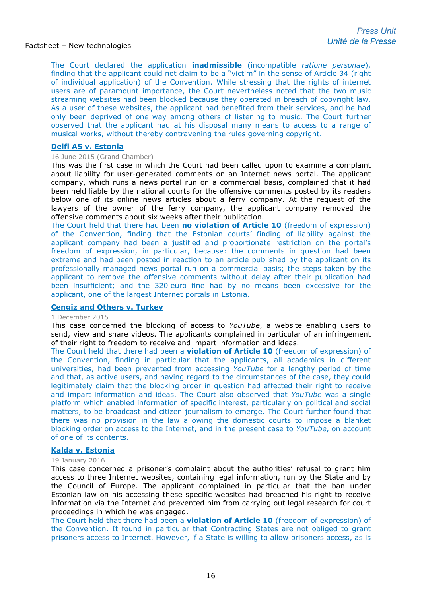The Court declared the application **inadmissible** (incompatible *ratione personae*), finding that the applicant could not claim to be a "victim" in the sense of Article 34 (right of individual application) of the Convention. While stressing that the rights of internet users are of paramount importance, the Court nevertheless noted that the two music streaming websites had been blocked because they operated in breach of copyright law. As a user of these websites, the applicant had benefited from their services, and he had only been deprived of one way among others of listening to music. The Court further observed that the applicant had at his disposal many means to access to a range of musical works, without thereby contravening the rules governing copyright.

### **[Delfi AS v. Estonia](http://hudoc.echr.coe.int/sites/eng-press/pages/search.aspx?i=003-5110487-6300958)**

### 16 June 2015 (Grand Chamber)

This was the first case in which the Court had been called upon to examine a complaint about liability for user-generated comments on an Internet news portal. The applicant company, which runs a news portal run on a commercial basis, complained that it had been held liable by the national courts for the offensive comments posted by its readers below one of its online news articles about a ferry company. At the request of the lawyers of the owner of the ferry company, the applicant company removed the offensive comments about six weeks after their publication.

The Court held that there had been **no violation of Article 10** (freedom of expression) of the Convention, finding that the Estonian courts' finding of liability against the applicant company had been a justified and proportionate restriction on the portal's freedom of expression, in particular, because: the comments in question had been extreme and had been posted in reaction to an article published by the applicant on its professionally managed news portal run on a commercial basis; the steps taken by the applicant to remove the offensive comments without delay after their publication had been insufficient; and the 320 euro fine had by no means been excessive for the applicant, one of the largest Internet portals in Estonia.

### **[Cengiz and Others v. Turkey](http://hudoc.echr.coe.int/eng-press?i=003-5241080-6502267)**

### 1 December 2015

This case concerned the blocking of access to *YouTube*, a website enabling users to send, view and share videos. The applicants complained in particular of an infringement of their right to freedom to receive and impart information and ideas.

The Court held that there had been a **violation of Article 10** (freedom of expression) of the Convention, finding in particular that the applicants, all academics in different universities, had been prevented from accessing *YouTube* for a lengthy period of time and that, as active users, and having regard to the circumstances of the case, they could legitimately claim that the blocking order in question had affected their right to receive and impart information and ideas. The Court also observed that *YouTube* was a single platform which enabled information of specific interest, particularly on political and social matters, to be broadcast and citizen journalism to emerge. The Court further found that there was no provision in the law allowing the domestic courts to impose a blanket blocking order on access to the Internet, and in the present case to *YouTube*, on account of one of its contents.

### **[Kalda v. Estonia](http://hudoc.echr.coe.int/eng-press?i=003-5274809-6556598)**

### 19 January 2016

This case concerned a prisoner's complaint about the authorities' refusal to grant him access to three Internet websites, containing legal information, run by the State and by the Council of Europe. The applicant complained in particular that the ban under Estonian law on his accessing these specific websites had breached his right to receive information via the Internet and prevented him from carrying out legal research for court proceedings in which he was engaged.

The Court held that there had been a **violation of Article 10** (freedom of expression) of the Convention. It found in particular that Contracting States are not obliged to grant prisoners access to Internet. However, if a State is willing to allow prisoners access, as is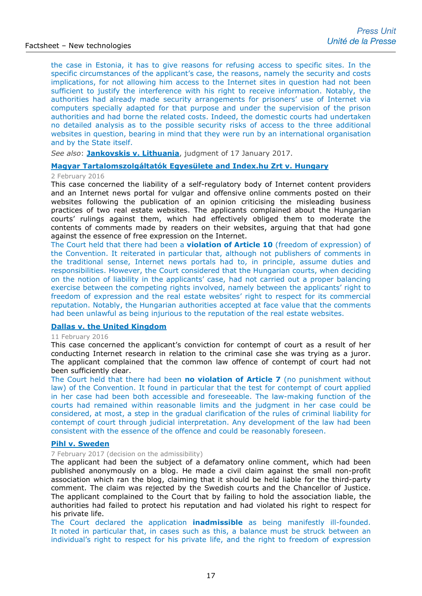the case in Estonia, it has to give reasons for refusing access to specific sites. In the specific circumstances of the applicant's case, the reasons, namely the security and costs implications, for not allowing him access to the Internet sites in question had not been sufficient to justify the interference with his right to receive information. Notably, the authorities had already made security arrangements for prisoners' use of Internet via computers specially adapted for that purpose and under the supervision of the prison authorities and had borne the related costs. Indeed, the domestic courts had undertaken no detailed analysis as to the possible security risks of access to the three additional websites in question, bearing in mind that they were run by an international organisation and by the State itself.

*See also*: **[Jankovskis v. Lithuania](http://hudoc.echr.coe.int/eng?i=001-170354)**, judgment of 17 January 2017.

### **[Magyar Tartalomszolgáltatók Egyesülete](http://hudoc.echr.coe.int/eng-press?i=003-5288151-6577157) and Index.hu Zrt v. Hungary**

### 2 February 2016

This case concerned the liability of a self-regulatory body of Internet content providers and an Internet news portal for vulgar and offensive online comments posted on their websites following the publication of an opinion criticising the misleading business practices of two real estate websites. The applicants complained about the Hungarian courts' rulings against them, which had effectively obliged them to moderate the contents of comments made by readers on their websites, arguing that that had gone against the essence of free expression on the Internet.

The Court held that there had been a **violation of Article 10** (freedom of expression) of the Convention. It reiterated in particular that, although not publishers of comments in the traditional sense, Internet news portals had to, in principle, assume duties and responsibilities. However, the Court considered that the Hungarian courts, when deciding on the notion of liability in the applicants' case, had not carried out a proper balancing exercise between the competing rights involved, namely between the applicants' right to freedom of expression and the real estate websites' right to respect for its commercial reputation. Notably, the Hungarian authorities accepted at face value that the comments had been unlawful as being injurious to the reputation of the real estate websites.

### **[Dallas v. the United Kingdom](http://hudoc.echr.coe.int/eng-press?i=003-5297937-6593016)**

### 11 February 2016

This case concerned the applicant's conviction for contempt of court as a result of her conducting Internet research in relation to the criminal case she was trying as a juror. The applicant complained that the common law offence of contempt of court had not been sufficiently clear.

The Court held that there had been **no violation of Article 7** (no punishment without law) of the Convention. It found in particular that the test for contempt of court applied in her case had been both accessible and foreseeable. The law-making function of the courts had remained within reasonable limits and the judgment in her case could be considered, at most, a step in the gradual clarification of the rules of criminal liability for contempt of court through judicial interpretation. Any development of the law had been consistent with the essence of the offence and could be reasonably foreseen.

### **[Pihl v. Sweden](http://hudoc.echr.coe.int/eng-press?i=003-5650866-7156310)**

### 7 February 2017 (decision on the admissibility)

The applicant had been the subject of a defamatory online comment, which had been published anonymously on a blog. He made a civil claim against the small non-profit association which ran the blog, claiming that it should be held liable for the third-party comment. The claim was rejected by the Swedish courts and the Chancellor of Justice. The applicant complained to the Court that by failing to hold the association liable, the authorities had failed to protect his reputation and had violated his right to respect for his private life.

The Court declared the application **inadmissible** as being manifestly ill-founded. It noted in particular that, in cases such as this, a balance must be struck between an individual's right to respect for his private life, and the right to freedom of expression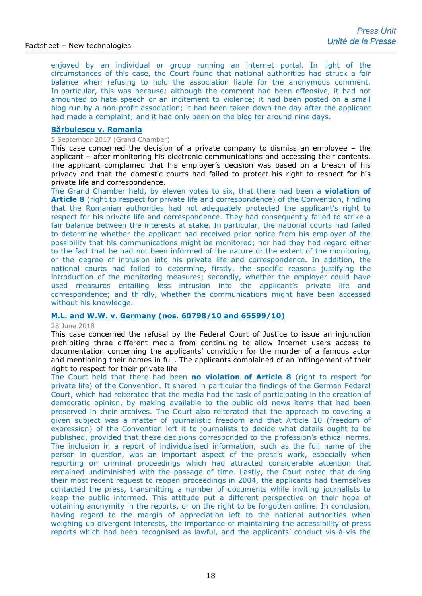enjoyed by an individual or group running an internet portal. In light of the circumstances of this case, the Court found that national authorities had struck a fair balance when refusing to hold the association liable for the anonymous comment. In particular, this was because: although the comment had been offensive, it had not amounted to hate speech or an incitement to violence; it had been posted on a small blog run by a non-profit association; it had been taken down the day after the applicant had made a complaint; and it had only been on the blog for around nine days.

### **[Bărbulescu v. Romania](http://hudoc.echr.coe.int/eng-press?i=003-5825428-7419362)**

#### 5 September 2017 (Grand Chamber)

This case concerned the decision of a private company to dismiss an employee – the applicant – after monitoring his electronic communications and accessing their contents. The applicant complained that his employer's decision was based on a breach of his privacy and that the domestic courts had failed to protect his right to respect for his private life and correspondence.

The Grand Chamber held, by eleven votes to six, that there had been a **violation of Article 8** (right to respect for private life and correspondence) of the Convention, finding that the Romanian authorities had not adequately protected the applicant's right to respect for his private life and correspondence. They had consequently failed to strike a fair balance between the interests at stake. In particular, the national courts had failed to determine whether the applicant had received prior notice from his employer of the possibility that his communications might be monitored; nor had they had regard either to the fact that he had not been informed of the nature or the extent of the monitoring, or the degree of intrusion into his private life and correspondence. In addition, the national courts had failed to determine, firstly, the specific reasons justifying the introduction of the monitoring measures; secondly, whether the employer could have used measures entailing less intrusion into the applicant's private life and correspondence; and thirdly, whether the communications might have been accessed without his knowledge.

### **[M.L. and W.W. v. Germany](http://hudoc.echr.coe.int/eng-press?i=003-6128897-7918743) (nos. 60798/10 and 65599/10)**

#### 28 June 2018

This case concerned the refusal by the Federal Court of Justice to issue an injunction prohibiting three different media from continuing to allow Internet users access to documentation concerning the applicants' conviction for the murder of a famous actor and mentioning their names in full. The applicants complained of an infringement of their right to respect for their private life

The Court held that there had been **no violation of Article 8** (right to respect for private life) of the Convention. It shared in particular the findings of the German Federal Court, which had reiterated that the media had the task of participating in the creation of democratic opinion, by making available to the public old news items that had been preserved in their archives. The Court also reiterated that the approach to covering a given subject was a matter of journalistic freedom and that Article 10 (freedom of expression) of the Convention left it to journalists to decide what details ought to be published, provided that these decisions corresponded to the profession's ethical norms. The inclusion in a report of individualised information, such as the full name of the person in question, was an important aspect of the press's work, especially when reporting on criminal proceedings which had attracted considerable attention that remained undiminished with the passage of time. Lastly, the Court noted that during their most recent request to reopen proceedings in 2004, the applicants had themselves contacted the press, transmitting a number of documents while inviting journalists to keep the public informed. This attitude put a different perspective on their hope of obtaining anonymity in the reports, or on the right to be forgotten online. In conclusion, having regard to the margin of appreciation left to the national authorities when weighing up divergent interests, the importance of maintaining the accessibility of press reports which had been recognised as lawful, and the applicants' conduct vis-à-vis the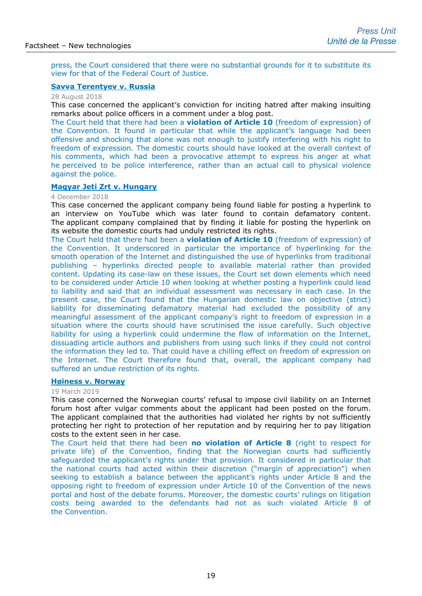press, the Court considered that there were no substantial grounds for it to substitute its view for that of the Federal Court of Justice.

### **[Savva Terentyev v. Russia](http://hudoc.echr.coe.int/eng-press?i=003-6173420-7999584)**

28 August 2018

This case concerned the applicant's conviction for inciting hatred after making insulting remarks about police officers in a comment under a blog post.

The Court held that there had been a **violation of Article 10** (freedom of expression) of the Convention. It found in particular that while the applicant's language had been offensive and shocking that alone was not enough to justify interfering with his right to freedom of expression. The domestic courts should have looked at the overall context of his comments, which had been a provocative attempt to express his anger at what he perceived to be police interference, rather than an actual call to physical violence against the police.

### **[Magyar Jeti Zrt v. Hungary](http://hudoc.echr.coe.int/eng-press?i=003-6268410-8164436)**

### 4 December 2018

This case concerned the applicant company being found liable for posting a hyperlink to an interview on YouTube which was later found to contain defamatory content. The applicant company complained that by finding it liable for posting the hyperlink on its website the domestic courts had unduly restricted its rights.

The Court held that there had been a **violation of Article 10** (freedom of expression) of the Convention. It underscored in particular the importance of hyperlinking for the smooth operation of the Internet and distinguished the use of hyperlinks from traditional publishing – hyperlinks directed people to available material rather than provided content. Updating its case-law on these issues, the Court set down elements which need to be considered under Article 10 when looking at whether posting a hyperlink could lead to liability and said that an individual assessment was necessary in each case. In the present case, the Court found that the Hungarian domestic law on objective (strict) liability for disseminating defamatory material had excluded the possibility of any meaningful assessment of the applicant company's right to freedom of expression in a situation where the courts should have scrutinised the issue carefully. Such objective liability for using a hyperlink could undermine the flow of information on the Internet, dissuading article authors and publishers from using such links if they could not control the information they led to. That could have a chilling effect on freedom of expression on the Internet. The Court therefore found that, overall, the applicant company had suffered an undue restriction of its rights.

### **[Høiness v. Norway](http://hudoc.echr.coe.int/eng-press?i=003-6360754-8328497)**

#### 19 March 2019

This case concerned the Norwegian courts' refusal to impose civil liability on an Internet forum host after vulgar comments about the applicant had been posted on the forum. The applicant complained that the authorities had violated her rights by not sufficiently protecting her right to protection of her reputation and by requiring her to pay litigation costs to the extent seen in her case.

The Court held that there had been **no violation of Article 8** (right to respect for private life) of the Convention, finding that the Norwegian courts had sufficiently safeguarded the applicant's rights under that provision. It considered in particular that the national courts had acted within their discretion ("margin of appreciation") when seeking to establish a balance between the applicant's rights under Article 8 and the opposing right to freedom of expression under Article 10 of the Convention of the news portal and host of the debate forums. Moreover, the domestic courts' rulings on litigation costs being awarded to the defendants had not as such violated Article 8 of the Convention.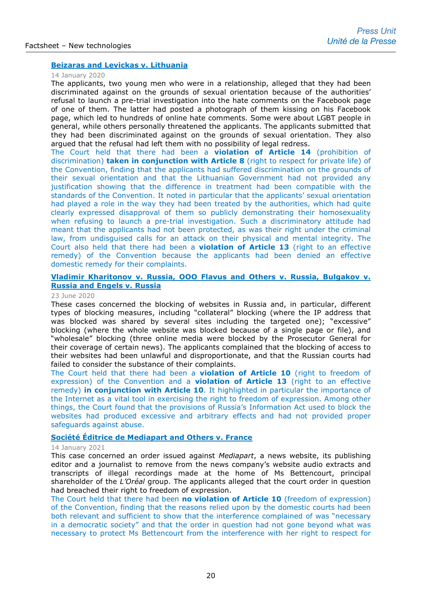### **[Beizaras and Levickas v. Lithuania](http://hudoc.echr.coe.int/eng-press?i=003-6608238-8764123)**

#### 14 January 2020

The applicants, two young men who were in a relationship, alleged that they had been discriminated against on the grounds of sexual orientation because of the authorities' refusal to launch a pre-trial investigation into the hate comments on the Facebook page of one of them. The latter had posted a photograph of them kissing on his Facebook page, which led to hundreds of online hate comments. Some were about LGBT people in general, while others personally threatened the applicants. The applicants submitted that they had been discriminated against on the grounds of sexual orientation. They also argued that the refusal had left them with no possibility of legal redress.

The Court held that there had been a **violation of Article 14** (prohibition of discrimination) **taken in conjunction with Article 8** (right to respect for private life) of the Convention, finding that the applicants had suffered discrimination on the grounds of their sexual orientation and that the Lithuanian Government had not provided any justification showing that the difference in treatment had been compatible with the standards of the Convention. It noted in particular that the applicants' sexual orientation had played a role in the way they had been treated by the authorities, which had quite clearly expressed disapproval of them so publicly demonstrating their homosexuality when refusing to launch a pre-trial investigation. Such a discriminatory attitude had meant that the applicants had not been protected, as was their right under the criminal law, from undisguised calls for an attack on their physical and mental integrity. The Court also held that there had been a **violation of Article 13** (right to an effective remedy) of the Convention because the applicants had been denied an effective domestic remedy for their complaints.

### **[Vladimir Kharitonov v. Russia, OOO Flavus and Others v. Russia, Bulgakov v.](http://hudoc.echr.coe.int/eng-press?i=003-6729158-8971586)  [Russia and Engels v. Russia](http://hudoc.echr.coe.int/eng-press?i=003-6729158-8971586)**

#### 23 June 2020

These cases concerned the blocking of websites in Russia and, in particular, different types of blocking measures, including "collateral" blocking (where the IP address that was blocked was shared by several sites including the targeted one); "excessive" blocking (where the whole website was blocked because of a single page or file), and "wholesale" blocking (three online media were blocked by the Prosecutor General for their coverage of certain news). The applicants complained that the blocking of access to their websites had been unlawful and disproportionate, and that the Russian courts had failed to consider the substance of their complaints.

The Court held that there had been a **violation of Article 10** (right to freedom of expression) of the Convention and a **violation of Article 13** (right to an effective remedy) **in conjunction with Article 10**. It highlighted in particular the importance of the Internet as a vital tool in exercising the right to freedom of expression. Among other things, the Court found that the provisions of Russia's Information Act used to block the websites had produced excessive and arbitrary effects and had not provided proper safeguards against abuse.

### **Société Éditrice [de Mediapart and Others v. France](https://hudoc.echr.coe.int/eng?i=003-6904899-9271529)**

### 14 January 2021

This case concerned an order issued against *Mediapart*, a news website, its publishing editor and a journalist to remove from the news company's website audio extracts and transcripts of illegal recordings made at the home of Ms Bettencourt, principal shareholder of the *L'Oréal* group. The applicants alleged that the court order in question had breached their right to freedom of expression.

The Court held that there had been **no violation of Article 10** (freedom of expression) of the Convention, finding that the reasons relied upon by the domestic courts had been both relevant and sufficient to show that the interference complained of was "necessary in a democratic society" and that the order in question had not gone beyond what was necessary to protect Ms Bettencourt from the interference with her right to respect for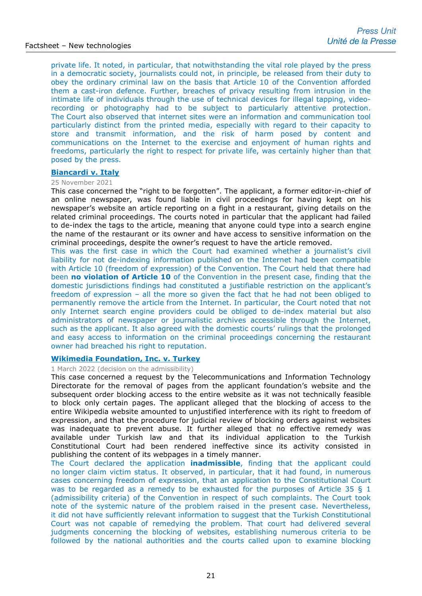private life. It noted, in particular, that notwithstanding the vital role played by the press in a democratic society, journalists could not, in principle, be released from their duty to obey the ordinary criminal law on the basis that Article 10 of the Convention afforded them a cast-iron defence. Further, breaches of privacy resulting from intrusion in the intimate life of individuals through the use of technical devices for illegal tapping, videorecording or photography had to be subject to particularly attentive protection. The Court also observed that internet sites were an information and communication tool particularly distinct from the printed media, especially with regard to their capacity to store and transmit information, and the risk of harm posed by content and communications on the Internet to the exercise and enjoyment of human rights and freedoms, particularly the right to respect for private life, was certainly higher than that posed by the press.

#### **[Biancardi v. Italy](https://hudoc.echr.coe.int/eng-press?i=003-7191283-9765270)**

#### 25 November 2021

This case concerned the "right to be forgotten". The applicant, a former editor-in-chief of an online newspaper, was found liable in civil proceedings for having kept on his newspaper's website an article reporting on a fight in a restaurant, giving details on the related criminal proceedings. The courts noted in particular that the applicant had failed to de-index the tags to the article, meaning that anyone could type into a search engine the name of the restaurant or its owner and have access to sensitive information on the criminal proceedings, despite the owner's request to have the article removed.

This was the first case in which the Court had examined whether a journalist's civil liability for not de-indexing information published on the Internet had been compatible with Article 10 (freedom of expression) of the Convention. The Court held that there had been **no violation of Article 10** of the Convention in the present case, finding that the domestic jurisdictions findings had constituted a justifiable restriction on the applicant's freedom of expression – all the more so given the fact that he had not been obliged to permanently remove the article from the Internet. In particular, the Court noted that not only Internet search engine providers could be obliged to de-index material but also administrators of newspaper or journalistic archives accessible through the Internet, such as the applicant. It also agreed with the domestic courts' rulings that the prolonged and easy access to information on the criminal proceedings concerning the restaurant owner had breached his right to reputation.

### **[Wikimedia Foundation, Inc. v. Turkey](https://hudoc.echr.coe.int/eng-press?i=003-7293454-9940966)**

1 March 2022 (decision on the admissibility)

This case concerned a request by the Telecommunications and Information Technology Directorate for the removal of pages from the applicant foundation's website and the subsequent order blocking access to the entire website as it was not technically feasible to block only certain pages. The applicant alleged that the blocking of access to the entire Wikipedia website amounted to unjustified interference with its right to freedom of expression, and that the procedure for judicial review of blocking orders against websites was inadequate to prevent abuse. It further alleged that no effective remedy was available under Turkish law and that its individual application to the Turkish Constitutional Court had been rendered ineffective since its activity consisted in publishing the content of its webpages in a timely manner.

The Court declared the application **inadmissible**, finding that the applicant could no longer claim victim status. It observed, in particular, that it had found, in numerous cases concerning freedom of expression, that an application to the Constitutional Court was to be regarded as a remedy to be exhausted for the purposes of Article 35 § 1 (admissibility criteria) of the Convention in respect of such complaints. The Court took note of the systemic nature of the problem raised in the present case. Nevertheless, it did not have sufficiently relevant information to suggest that the Turkish Constitutional Court was not capable of remedying the problem. That court had delivered several judgments concerning the blocking of websites, establishing numerous criteria to be followed by the national authorities and the courts called upon to examine blocking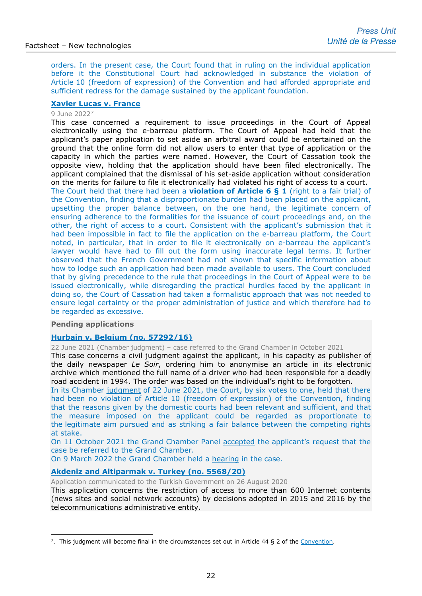orders. In the present case, the Court found that in ruling on the individual application before it the Constitutional Court had acknowledged in substance the violation of Article 10 (freedom of expression) of the Convention and had afforded appropriate and sufficient redress for the damage sustained by the applicant foundation.

### **[Xavier Lucas v. France](https://hudoc.echr.coe.int/eng-press?i=003-7355548-10047033)**

### 9 June 2022[7](#page-21-0)

This case concerned a requirement to issue proceedings in the Court of Appeal electronically using the e-barreau platform. The Court of Appeal had held that the applicant's paper application to set aside an arbitral award could be entertained on the ground that the online form did not allow users to enter that type of application or the capacity in which the parties were named. However, the Court of Cassation took the opposite view, holding that the application should have been filed electronically. The applicant complained that the dismissal of his set-aside application without consideration on the merits for failure to file it electronically had violated his right of access to a court.

The Court held that there had been a **violation of Article 6 § 1** (right to a fair trial) of the Convention, finding that a disproportionate burden had been placed on the applicant, upsetting the proper balance between, on the one hand, the legitimate concern of ensuring adherence to the formalities for the issuance of court proceedings and, on the other, the right of access to a court. Consistent with the applicant's submission that it had been impossible in fact to file the application on the e-barreau platform, the Court noted, in particular, that in order to file it electronically on e-barreau the applicant's lawyer would have had to fill out the form using inaccurate legal terms. It further observed that the French Government had not shown that specific information about how to lodge such an application had been made available to users. The Court concluded that by giving precedence to the rule that proceedings in the Court of Appeal were to be issued electronically, while disregarding the practical hurdles faced by the applicant in doing so, the Court of Cassation had taken a formalistic approach that was not needed to ensure legal certainty or the proper administration of justice and which therefore had to be regarded as excessive.

### **Pending applications**

### **[Hurbain v. Belgium \(no. 57292/16\)](https://hudoc.echr.coe.int/fre-press?i=003-7280333-9918303)**

22 June 2021 (Chamber judgment) – case referred to the Grand Chamber in October 2021

This case concerns a civil judgment against the applicant, in his capacity as publisher of the daily newspaper *Le Soir*, ordering him to anonymise an article in its electronic archive which mentioned the full name of a driver who had been responsible for a deadly road accident in 1994. The order was based on the individual's right to be forgotten.

In its Chamber [judgment](https://hudoc.echr.coe.int/eng-press?i=003-7056444-9531164) of 22 June 2021, the Court, by six votes to one, held that there had been no violation of Article 10 (freedom of expression) of the Convention, finding that the reasons given by the domestic courts had been relevant and sufficient, and that the measure imposed on the applicant could be regarded as proportionate to the legitimate aim pursued and as striking a fair balance between the competing rights at stake.

On 11 October 2021 the Grand Chamber Panel [accepted](https://hudoc.echr.coe.int/eng-press?i=003-7149113-9692407) the applicant's request that the case be referred to the Grand Chamber.

On 9 March 2022 the Grand Chamber held a [hearing](https://www.echr.coe.int/Pages/home.aspx?p=hearings&w=5729216_09032022&language=en&c=&py=2022) in the case.

### **Akdeniz and [Altiparmak v. Turkey](http://hudoc.echr.coe.int/eng?i=001-204708) (no. 5568/20)**

Application communicated to the Turkish Government on 26 August 2020

This application concerns the restriction of access to more than 600 Internet contents (news sites and social network accounts) by decisions adopted in 2015 and 2016 by the telecommunications administrative entity.

<span id="page-21-0"></span><sup>&</sup>lt;sup>7</sup>. This judgment will become final in the circumstances set out in Article 44 § 2 of the [Convention.](http://www.echr.coe.int/Documents/Convention_ENG.pdf)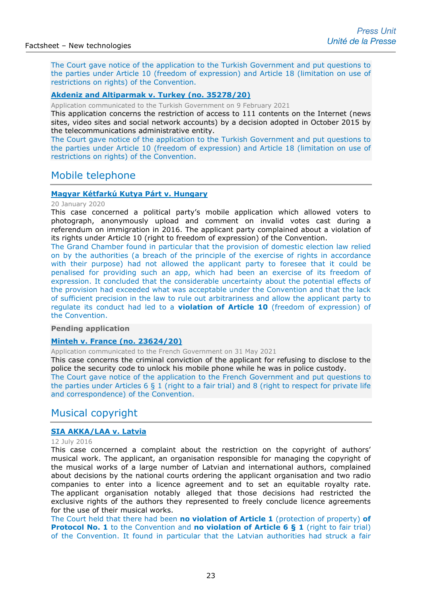The Court gave notice of the application to the Turkish Government and put questions to the parties under Article 10 (freedom of expression) and Article 18 (limitation on use of restrictions on rights) of the Convention.

### **Akdeniz and [Altiparmak v. Turkey](http://hudoc.echr.coe.int/eng?i=001-208523) (no. 35278/20)**

Application communicated to the Turkish Government on 9 February 2021

This application concerns the restriction of access to 111 contents on the Internet (news sites, video sites and social network accounts) by a decision adopted in October 2015 by the telecommunications administrative entity.

The Court gave notice of the application to the Turkish Government and put questions to the parties under Article 10 (freedom of expression) and Article 18 (limitation on use of restrictions on rights) of the Convention.

### Mobile telephone

### **[Magyar Kétfarkú Kutya](http://hudoc.echr.coe.int/eng-press?i=003-6614625-8774485) Párt v. Hungary**

#### 20 January 2020

This case concerned a political party's mobile application which allowed voters to photograph, anonymously upload and comment on invalid votes cast during a referendum on immigration in 2016. The applicant party complained about a violation of its rights under Article 10 (right to freedom of expression) of the Convention.

The Grand Chamber found in particular that the provision of domestic election law relied on by the authorities (a breach of the principle of the exercise of rights in accordance with their purpose) had not allowed the applicant party to foresee that it could be penalised for providing such an app, which had been an exercise of its freedom of expression. It concluded that the considerable uncertainty about the potential effects of the provision had exceeded what was acceptable under the Convention and that the lack of sufficient precision in the law to rule out arbitrariness and allow the applicant party to regulate its conduct had led to a **violation of Article 10** (freedom of expression) of the Convention.

### **Pending application**

### **[Minteh v. France](https://hudoc.echr.coe.int/fre?i=002-13316) (no. 23624/20)**

Application communicated to the French Government on 31 May 2021

This case concerns the criminal conviction of the applicant for refusing to disclose to the police the security code to unlock his mobile phone while he was in police custody.

The Court gave notice of the application to the French Government and put questions to the parties under Articles  $6 \, 8 \, 1$  (right to a fair trial) and 8 (right to respect for private life and correspondence) of the Convention.

# Musical copyright

### **[SIA AKKA/LAA v. Latvia](http://hudoc.echr.coe.int/eng-press?i=003-5435582-6810293)**

### 12 July 2016

This case concerned a complaint about the restriction on the copyright of authors' musical work. The applicant, an organisation responsible for managing the copyright of the musical works of a large number of Latvian and international authors, complained about decisions by the national courts ordering the applicant organisation and two radio companies to enter into a licence agreement and to set an equitable royalty rate. The applicant organisation notably alleged that those decisions had restricted the exclusive rights of the authors they represented to freely conclude licence agreements for the use of their musical works.

The Court held that there had been **no violation of Article 1** (protection of property) **of Protocol No. 1** to the Convention and **no violation of Article 6 § 1** (right to fair trial) of the Convention. It found in particular that the Latvian authorities had struck a fair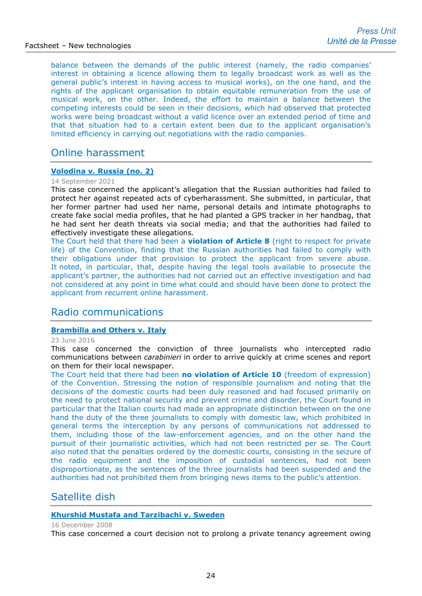balance between the demands of the public interest (namely, the radio companies' interest in obtaining a licence allowing them to legally broadcast work as well as the general public's interest in having access to musical works), on the one hand, and the rights of the applicant organisation to obtain equitable remuneration from the use of musical work, on the other. Indeed, the effort to maintain a balance between the competing interests could be seen in their decisions, which had observed that protected works were being broadcast without a valid licence over an extended period of time and that that situation had to a certain extent been due to the applicant organisation's limited efficiency in carrying out negotiations with the radio companies.

# Online harassment

### **[Volodina v. Russia \(no. 2\)](https://hudoc.echr.coe.int/eng-press?i=003-7116031-9638379)**

#### 14 September 2021

This case concerned the applicant's allegation that the Russian authorities had failed to protect her against repeated acts of cyberharassment. She submitted, in particular, that her former partner had used her name, personal details and intimate photographs to create fake social media profiles, that he had planted a GPS tracker in her handbag, that he had sent her death threats via social media; and that the authorities had failed to effectively investigate these allegations.

The Court held that there had been a **violation of Article 8** (right to respect for private life) of the Convention, finding that the Russian authorities had failed to comply with their obligations under that provision to protect the applicant from severe abuse. It noted, in particular, that, despite having the legal tools available to prosecute the applicant's partner, the authorities had not carried out an effective investigation and had not considered at any point in time what could and should have been done to protect the applicant from recurrent online harassment.

# Radio communications

### **[Brambilla and Others v. Italy](http://hudoc.echr.coe.int/eng-press?i=003-5415795-6778471)**

#### 23 June 2016

This case concerned the conviction of three journalists who intercepted radio communications between *carabinieri* in order to arrive quickly at crime scenes and report on them for their local newspaper.

The Court held that there had been **no violation of Article 10** (freedom of expression) of the Convention. Stressing the notion of responsible journalism and noting that the decisions of the domestic courts had been duly reasoned and had focused primarily on the need to protect national security and prevent crime and disorder, the Court found in particular that the Italian courts had made an appropriate distinction between on the one hand the duty of the three journalists to comply with domestic law, which prohibited in general terms the interception by any persons of communications not addressed to them, including those of the law-enforcement agencies, and on the other hand the pursuit of their journalistic activities, which had not been restricted per se. The Court also noted that the penalties ordered by the domestic courts, consisting in the seizure of the radio equipment and the imposition of custodial sentences, had not been disproportionate, as the sentences of the three journalists had been suspended and the authorities had not prohibited them from bringing news items to the public's attention.

# Satellite dish

### **[Khurshid Mustafa and Tarzibachi v. Sweden](http://hudoc.echr.coe.int/sites/eng/pages/search.aspx?i=002-1804)**

#### 16 December 2008

This case concerned a court decision not to prolong a private tenancy agreement owing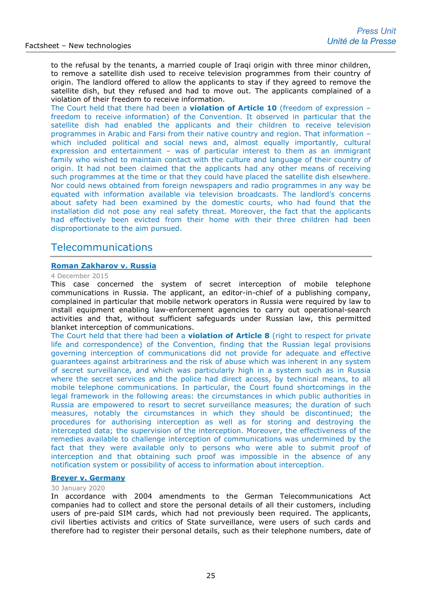to the refusal by the tenants, a married couple of Iraqi origin with three minor children, to remove a satellite dish used to receive television programmes from their country of origin. The landlord offered to allow the applicants to stay if they agreed to remove the satellite dish, but they refused and had to move out. The applicants complained of a violation of their freedom to receive information.

The Court held that there had been a **violation of Article 10** (freedom of expression – freedom to receive information) of the Convention. It observed in particular that the satellite dish had enabled the applicants and their children to receive television programmes in Arabic and Farsi from their native country and region. That information – which included political and social news and, almost equally importantly, cultural expression and entertainment – was of particular interest to them as an immigrant family who wished to maintain contact with the culture and language of their country of origin. It had not been claimed that the applicants had any other means of receiving such programmes at the time or that they could have placed the satellite dish elsewhere. Nor could news obtained from foreign newspapers and radio programmes in any way be equated with information available via television broadcasts. The landlord's concerns about safety had been examined by the domestic courts, who had found that the installation did not pose any real safety threat. Moreover, the fact that the applicants had effectively been evicted from their home with their three children had been disproportionate to the aim pursued.

# Telecommunications

### **[Roman Zakharov v. Russia](http://hudoc.echr.coe.int/eng-press?i=003-5246347-6510358)**

#### 4 December 2015

This case concerned the system of secret interception of mobile telephone communications in Russia. The applicant, an editor-in-chief of a publishing company, complained in particular that mobile network operators in Russia were required by law to install equipment enabling law-enforcement agencies to carry out operational-search activities and that, without sufficient safeguards under Russian law, this permitted blanket interception of communications.

The Court held that there had been a **violation of Article 8** (right to respect for private life and correspondence) of the Convention, finding that the Russian legal provisions governing interception of communications did not provide for adequate and effective guarantees against arbitrariness and the risk of abuse which was inherent in any system of secret surveillance, and which was particularly high in a system such as in Russia where the secret services and the police had direct access, by technical means, to all mobile telephone communications. In particular, the Court found shortcomings in the legal framework in the following areas: the circumstances in which public authorities in Russia are empowered to resort to secret surveillance measures; the duration of such measures, notably the circumstances in which they should be discontinued; the procedures for authorising interception as well as for storing and destroying the intercepted data; the supervision of the interception. Moreover, the effectiveness of the remedies available to challenge interception of communications was undermined by the fact that they were available only to persons who were able to submit proof of interception and that obtaining such proof was impossible in the absence of any notification system or possibility of access to information about interception.

### **[Breyer v. Germany](http://hudoc.echr.coe.int/eng-press?i=003-6624862-8792771)**

#### 30 January 2020

In accordance with 2004 amendments to the German Telecommunications Act companies had to collect and store the personal details of all their customers, including users of pre-paid SIM cards, which had not previously been required. The applicants, civil liberties activists and critics of State surveillance, were users of such cards and therefore had to register their personal details, such as their telephone numbers, date of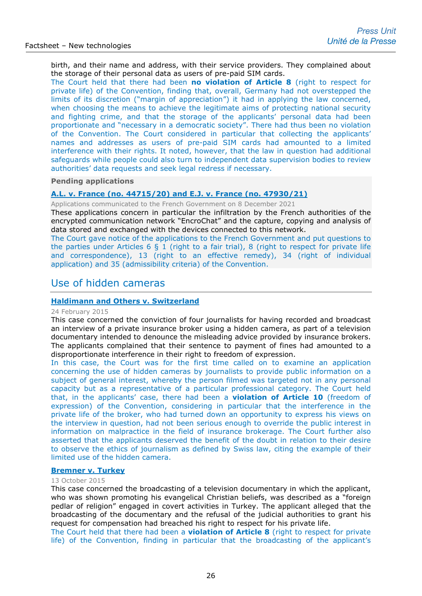birth, and their name and address, with their service providers. They complained about the storage of their personal data as users of pre-paid SIM cards.

The Court held that there had been **no violation of Article 8** (right to respect for private life) of the Convention, finding that, overall, Germany had not overstepped the limits of its discretion ("margin of appreciation") it had in applying the law concerned, when choosing the means to achieve the legitimate aims of protecting national security and fighting crime, and that the storage of the applicants' personal data had been proportionate and "necessary in a democratic society". There had thus been no violation of the Convention. The Court considered in particular that collecting the applicants' names and addresses as users of pre-paid SIM cards had amounted to a limited interference with their rights. It noted, however, that the law in question had additional safeguards while people could also turn to independent data supervision bodies to review authorities' data requests and seek legal redress if necessary.

#### **Pending applications**

### **A.L. v. France (no. 44715/20) and E.J. v. France (no. [47930/21\)](https://hudoc.echr.coe.int/eng?i=001-214862)**

Applications communicated to the French Government on 8 December 2021

These applications concern in particular the infiltration by the French authorities of the encrypted communication network "EncroChat" and the capture, copying and analysis of data stored and exchanged with the devices connected to this network.

The Court gave notice of the applications to the French Government and put questions to the parties under Articles 6 § 1 (right to a fair trial), 8 (right to respect for private life and correspondence), 13 (right to an effective remedy), 34 (right of individual application) and 35 (admissibility criteria) of the Convention.

# Use of hidden cameras

### **[Haldimann and Others v. Switzerland](http://hudoc.echr.coe.int/sites/eng-press/pages/search.aspx?i=003-5022560-6168338)**

#### 24 February 2015

This case concerned the conviction of four journalists for having recorded and broadcast an interview of a private insurance broker using a hidden camera, as part of a television documentary intended to denounce the misleading advice provided by insurance brokers. The applicants complained that their sentence to payment of fines had amounted to a disproportionate interference in their right to freedom of expression.

In this case, the Court was for the first time called on to examine an application concerning the use of hidden cameras by journalists to provide public information on a subject of general interest, whereby the person filmed was targeted not in any personal capacity but as a representative of a particular professional category. The Court held that, in the applicants' case, there had been a **violation of Article 10** (freedom of expression) of the Convention, considering in particular that the interference in the private life of the broker, who had turned down an opportunity to express his views on the interview in question, had not been serious enough to override the public interest in information on malpractice in the field of insurance brokerage. The Court further also asserted that the applicants deserved the benefit of the doubt in relation to their desire to observe the ethics of journalism as defined by Swiss law, citing the example of their limited use of the hidden camera.

#### **[Bremner v. Turkey](http://hudoc.echr.coe.int/eng-press?i=003-5197543-6435480)**

#### 13 October 2015

This case concerned the broadcasting of a television documentary in which the applicant, who was shown promoting his evangelical Christian beliefs, was described as a "foreign pedlar of religion" engaged in covert activities in Turkey. The applicant alleged that the broadcasting of the documentary and the refusal of the judicial authorities to grant his request for compensation had breached his right to respect for his private life.

The Court held that there had been a **violation of Article 8** (right to respect for private life) of the Convention, finding in particular that the broadcasting of the applicant's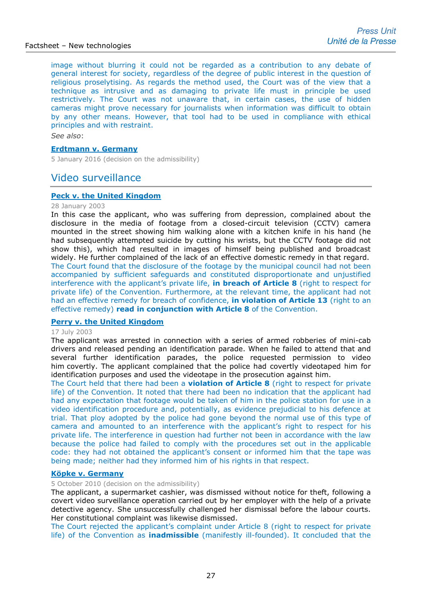image without blurring it could not be regarded as a contribution to any debate of general interest for society, regardless of the degree of public interest in the question of religious proselytising. As regards the method used, the Court was of the view that a technique as intrusive and as damaging to private life must in principle be used restrictively. The Court was not unaware that, in certain cases, the use of hidden cameras might prove necessary for journalists when information was difficult to obtain by any other means. However, that tool had to be used in compliance with ethical principles and with restraint.

*See also*:

### **[Erdtmann v. Germany](http://hudoc.echr.coe.int/eng?i=001-160437)**

5 January 2016 (decision on the admissibility)

# Video surveillance

### **[Peck v. the United Kingdom](http://hudoc.echr.coe.int/sites/eng-press/pages/search.aspx?i=003-687182-694690)**

#### 28 January 2003

In this case the applicant, who was suffering from depression, complained about the disclosure in the media of footage from a closed-circuit television (CCTV) camera mounted in the street showing him walking alone with a kitchen knife in his hand (he had subsequently attempted suicide by cutting his wrists, but the CCTV footage did not show this), which had resulted in images of himself being published and broadcast widely. He further complained of the lack of an effective domestic remedy in that regard. The Court found that the disclosure of the footage by the municipal council had not been accompanied by sufficient safeguards and constituted disproportionate and unjustified interference with the applicant's private life, **in breach of Article 8** (right to respect for private life) of the Convention. Furthermore, at the relevant time, the applicant had not had an effective remedy for breach of confidence, **in violation of Article 13** (right to an effective remedy) **read in conjunction with Article 8** of the Convention.

### **[Perry v. the United Kingdom](http://hudoc.echr.coe.int/eng?i=001-61228)**

#### 17 July 2003

The applicant was arrested in connection with a series of armed robberies of mini-cab drivers and released pending an identification parade. When he failed to attend that and several further identification parades, the police requested permission to video him covertly. The applicant complained that the police had covertly videotaped him for identification purposes and used the videotape in the prosecution against him.

The Court held that there had been a **violation of Article 8** (right to respect for private life) of the Convention. It noted that there had been no indication that the applicant had had any expectation that footage would be taken of him in the police station for use in a video identification procedure and, potentially, as evidence prejudicial to his defence at trial. That ploy adopted by the police had gone beyond the normal use of this type of camera and amounted to an interference with the applicant's right to respect for his private life. The interference in question had further not been in accordance with the law because the police had failed to comply with the procedures set out in the applicable code: they had not obtained the applicant's consent or informed him that the tape was being made; neither had they informed him of his rights in that respect.

### **[Köpke v. Germany](http://hudoc.echr.coe.int/sites/eng/pages/search.aspx?i=002-782)**

### 5 October 2010 (decision on the admissibility)

The applicant, a supermarket cashier, was dismissed without notice for theft, following a covert video surveillance operation carried out by her employer with the help of a private detective agency. She unsuccessfully challenged her dismissal before the labour courts. Her constitutional complaint was likewise dismissed.

The Court rejected the applicant's complaint under Article 8 (right to respect for private life) of the Convention as **inadmissible** (manifestly ill-founded). It concluded that the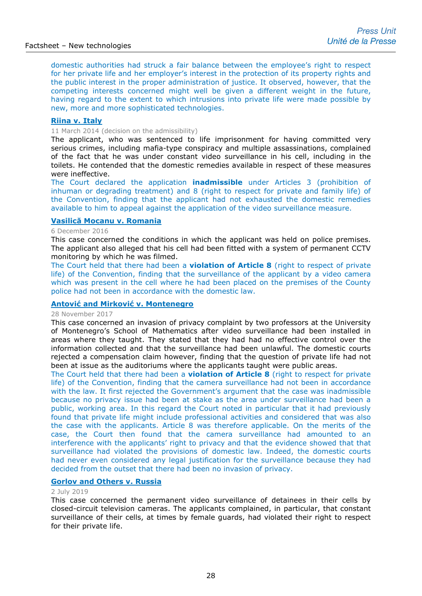domestic authorities had struck a fair balance between the employee's right to respect for her private life and her employer's interest in the protection of its property rights and the public interest in the proper administration of justice. It observed, however, that the competing interests concerned might well be given a different weight in the future, having regard to the extent to which intrusions into private life were made possible by new, more and more sophisticated technologies.

#### **[Riina v. Italy](http://hudoc.echr.coe.int/sites/eng-press/pages/search.aspx?i=003-4720682-5733449)**

### 11 March 2014 (decision on the admissibility)

The applicant, who was sentenced to life imprisonment for having committed very serious crimes, including mafia-type conspiracy and multiple assassinations, complained of the fact that he was under constant video surveillance in his cell, including in the toilets. He contended that the domestic remedies available in respect of these measures were ineffective.

The Court declared the application **inadmissible** under Articles 3 (prohibition of inhuman or degrading treatment) and 8 (right to respect for private and family life) of the Convention, finding that the applicant had not exhausted the domestic remedies available to him to appeal against the application of the video surveillance measure.

### **[Vasilică Mocanu v. Romania](http://hudoc.echr.coe.int/eng?i=001-169204)**

#### 6 December 2016

This case concerned the conditions in which the applicant was held on police premises. The applicant also alleged that his cell had been fitted with a system of permanent CCTV monitoring by which he was filmed.

The Court held that there had been a **violation of Article 8** (right to respect of private life) of the Convention, finding that the surveillance of the applicant by a video camera which was present in the cell where he had been placed on the premises of the County police had not been in accordance with the domestic law.

#### **An[tović and Mirković v. Montenegro](http://hudoc.echr.coe.int/eng-press?i=003-5927767-7571421)**

### 28 November 2017

This case concerned an invasion of privacy complaint by two professors at the University of Montenegro's School of Mathematics after video surveillance had been installed in areas where they taught. They stated that they had had no effective control over the information collected and that the surveillance had been unlawful. The domestic courts rejected a compensation claim however, finding that the question of private life had not been at issue as the auditoriums where the applicants taught were public areas.

The Court held that there had been a **violation of Article 8** (right to respect for private life) of the Convention, finding that the camera surveillance had not been in accordance with the law. It first rejected the Government's argument that the case was inadmissible because no privacy issue had been at stake as the area under surveillance had been a public, working area. In this regard the Court noted in particular that it had previously found that private life might include professional activities and considered that was also the case with the applicants. Article 8 was therefore applicable. On the merits of the case, the Court then found that the camera surveillance had amounted to an interference with the applicants' right to privacy and that the evidence showed that that surveillance had violated the provisions of domestic law. Indeed, the domestic courts had never even considered any legal justification for the surveillance because they had decided from the outset that there had been no invasion of privacy.

### **[Gorlov and Others v. Russia](http://hudoc.echr.coe.int/eng-press?i=003-6448942-8487323)**

#### 2 July 2019

This case concerned the permanent video surveillance of detainees in their cells by closed-circuit television cameras. The applicants complained, in particular, that constant surveillance of their cells, at times by female guards, had violated their right to respect for their private life.